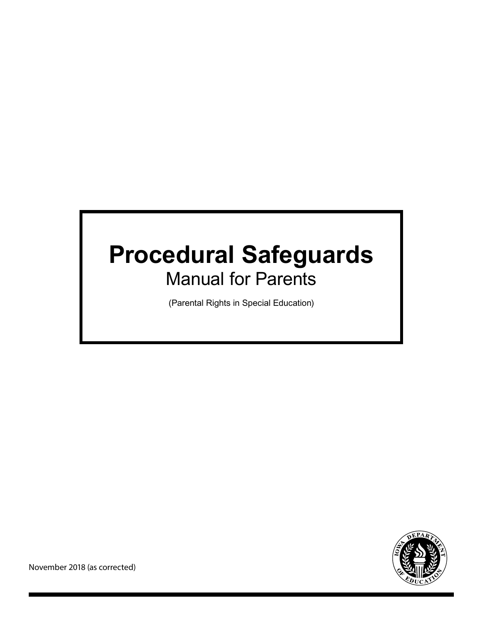# **Procedural Safeguards** Manual for Parents

(Parental Rights in Special Education)

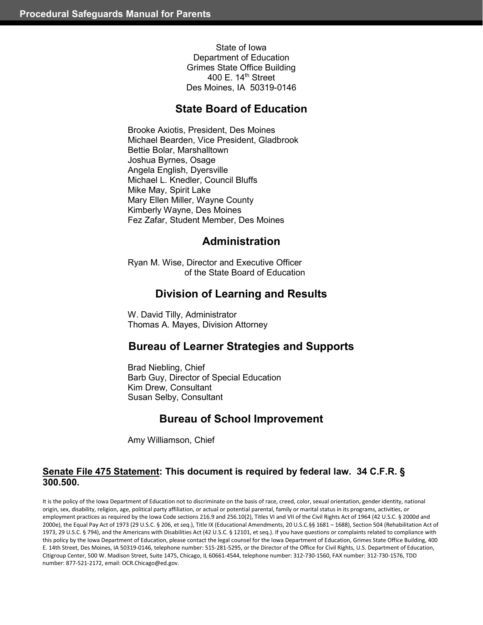State of Iowa Department of Education Grimes State Office Building 400 E. 14<sup>th</sup> Street Des Moines, IA 50319-0146

# **State Board of Education**

Brooke Axiotis, President, Des Moines Michael Bearden, Vice President, Gladbrook Bettie Bolar, Marshalltown Joshua Byrnes, Osage Angela English, Dyersville Michael L. Knedler, Council Bluffs Mike May, Spirit Lake Mary Ellen Miller, Wayne County Kimberly Wayne, Des Moines Fez Zafar, Student Member, Des Moines

# **Administration**

Ryan M. Wise, Director and Executive Officer of the State Board of Education

# **Division of Learning and Results**

 W. David Tilly, Administrator Thomas A. Mayes, Division Attorney

# **Bureau of Learner Strategies and Supports**

 Brad Niebling, Chief **Barb Guy, Director of Special Education**  Kim Drew, Consultant Susan Selby, Consultant

# **Bureau of School Improvement**

Amy Williamson, Chief

### **Senate File 475 Statement: This document is required by federal law. 34 C.F.R. § 300.500.**

It is the policy of the Iowa Department of Education not to discriminate on the basis of race, creed, color, sexual orientation, gender identity, national origin, sex, disability, religion, age, political party affiliation, or actual or potential parental, family or marital status in its programs, activities, or employment practices as required by the Iowa Code sections 216.9 and 256.10(2), Titles VI and VII of the Civil Rights Act of 1964 (42 U.S.C. § 2000d and 2000e), the Equal Pay Act of 1973 (29 U.S.C. § 206, et seq.), Title IX (Educational Amendments, 20 U.S.C.§§ 1681 – 1688), Section 504 (Rehabilitation Act of 1973, 29 U.S.C. § 794), and the Americans with Disabilities Act (42 U.S.C. § 12101, et seq.). If you have questions or complaints related to compliance with this policy by the Iowa Department of Education, please contact the legal counsel for the Iowa Department of Education, Grimes State Office Building, 400 E. 14th Street, Des Moines, IA 50319-0146, telephone number: 515-281-5295, or the Director of the Office for Civil Rights, U.S. Department of Education, Citigroup Center, 500 W. Madison Street, Suite 1475, Chicago, IL 60661-4544, telephone number: 312-730-1560, FAX number: 312-730-1576, TDD number: 877-521-2172, email: OCR.Chicago@ed.gov.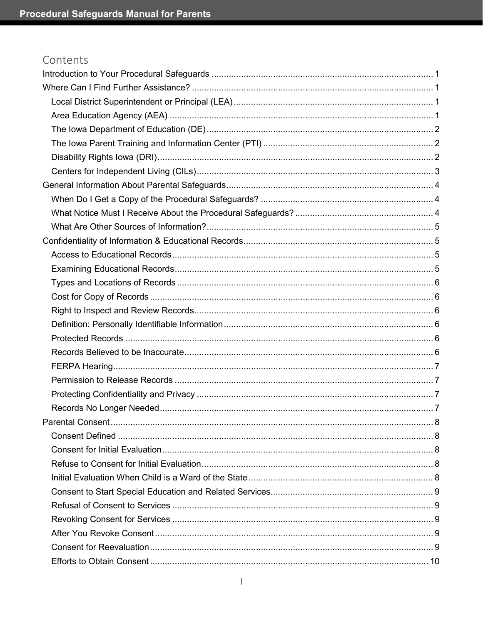# Contents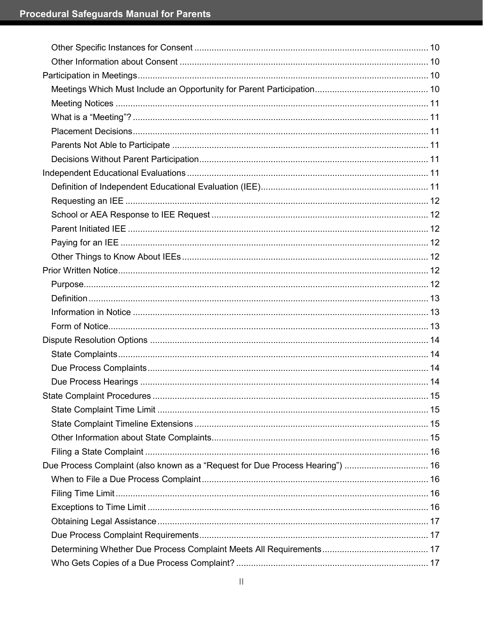| Due Process Complaint (also known as a "Request for Due Process Hearing")  16 |  |
|-------------------------------------------------------------------------------|--|
|                                                                               |  |
|                                                                               |  |
|                                                                               |  |
|                                                                               |  |
|                                                                               |  |
|                                                                               |  |
|                                                                               |  |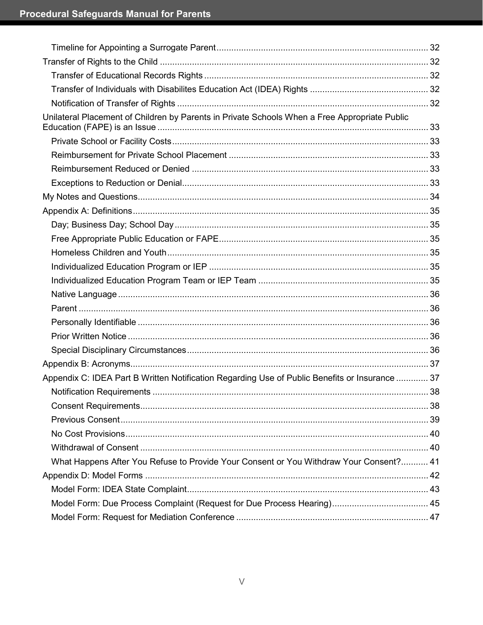| Unilateral Placement of Children by Parents in Private Schools When a Free Appropriate Public  |    |
|------------------------------------------------------------------------------------------------|----|
|                                                                                                |    |
|                                                                                                |    |
|                                                                                                |    |
|                                                                                                |    |
|                                                                                                |    |
|                                                                                                |    |
|                                                                                                |    |
|                                                                                                |    |
|                                                                                                |    |
|                                                                                                |    |
|                                                                                                |    |
|                                                                                                |    |
|                                                                                                |    |
|                                                                                                |    |
|                                                                                                |    |
|                                                                                                |    |
|                                                                                                |    |
| Appendix C: IDEA Part B Written Notification Regarding Use of Public Benefits or Insurance  37 |    |
|                                                                                                | 38 |
|                                                                                                |    |
|                                                                                                |    |
|                                                                                                |    |
|                                                                                                |    |
| What Happens After You Refuse to Provide Your Consent or You Withdraw Your Consent? 41         |    |
|                                                                                                |    |
|                                                                                                |    |
|                                                                                                |    |
|                                                                                                |    |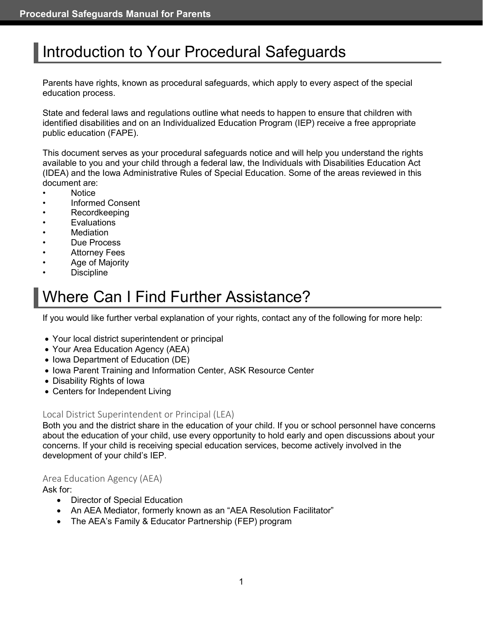# <span id="page-7-0"></span>Introduction to Your Procedural Safeguards

Parents have rights, known as procedural safeguards, which apply to every aspect of the special education process.

State and federal laws and regulations outline what needs to happen to ensure that children with identified disabilities and on an Individualized Education Program (IEP) receive a free appropriate public education (FAPE).

This document serves as your procedural safeguards notice and will help you understand the rights available to you and your child through a federal law, the Individuals with Disabilities Education Act (IDEA) and the Iowa Administrative Rules of Special Education. Some of the areas reviewed in this document are:

- Notice
- Informed Consent
- Recordkeeping
- **Evaluations**
- **Mediation**
- Due Process
- **Attorney Fees**
- Age of Majority
- **Discipline**

# <span id="page-7-1"></span>Where Can I Find Further Assistance?

If you would like further verbal explanation of your rights, contact any of the following for more help:

- Your local district superintendent or principal
- Your Area Education Agency (AEA)
- Iowa Department of Education (DE)
- Iowa Parent Training and Information Center, ASK Resource Center
- Disability Rights of Iowa
- Centers for Independent Living

#### <span id="page-7-2"></span>Local District Superintendent or Principal (LEA)

Both you and the district share in the education of your child. If you or school personnel have concerns about the education of your child, use every opportunity to hold early and open discussions about your concerns. If your child is receiving special education services, become actively involved in the development of your child's IEP.

#### Area Education Agency (AEA)

Ask for:

- Director of Special Education
- An AEA Mediator, formerly known as an "AEA Resolution Facilitator"
- The AEA's Family & Educator Partnership (FEP) program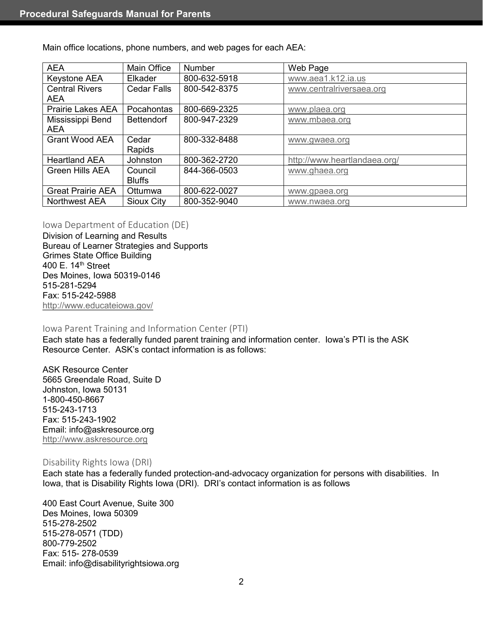Main office locations, phone numbers, and web pages for each AEA:

| <b>AEA</b>                          | Main Office              | <b>Number</b> | Web Page                     |
|-------------------------------------|--------------------------|---------------|------------------------------|
| Keystone AEA                        | Elkader                  | 800-632-5918  | www.aea1.k12.ia.us           |
| <b>Central Rivers</b><br><b>AEA</b> | <b>Cedar Falls</b>       | 800-542-8375  | www.centralriversaea.org     |
| <b>Prairie Lakes AEA</b>            | Pocahontas               | 800-669-2325  | www.plaea.org                |
| Mississippi Bend<br><b>AEA</b>      | <b>Bettendorf</b>        | 800-947-2329  | www.mbaea.org                |
| <b>Grant Wood AEA</b>               | Cedar<br>Rapids          | 800-332-8488  | www.gwaea.org                |
| <b>Heartland AEA</b>                | Johnston                 | 800-362-2720  | http://www.heartlandaea.org/ |
| <b>Green Hills AEA</b>              | Council<br><b>Bluffs</b> | 844-366-0503  | www.ghaea.org                |
| <b>Great Prairie AEA</b>            | Ottumwa                  | 800-622-0027  | www.gpaea.org                |
| <b>Northwest AEA</b>                | Sioux City               | 800-352-9040  | www.nwaea.org                |

#### <span id="page-8-0"></span>Iowa Department of Education (DE)

Division of Learning and Results Bureau of Learner Strategies and Supports Grimes State Office Building 400 E. 14<sup>th</sup> Street Des Moines, Iowa 50319-0146 515-281-5294 Fax: 515-242-5988 <http://www.educateiowa.gov/>

#### <span id="page-8-1"></span>Iowa Parent Training and Information Center (PTI)

Each state has a federally funded parent training and information center. Iowa's PTI is the ASK Resource Center. ASK's contact information is as follows:

ASK Resource Center 5665 Greendale Road, Suite D Johnston, Iowa 50131 1-800-450-8667 515-243-1713 Fax: 515-243-1902 Email: info@askresource.org [http://www.askresource.org](http://www.askresource.org/)

#### <span id="page-8-2"></span>Disability Rights Iowa (DRI)

Each state has a federally funded protection-and-advocacy organization for persons with disabilities. In Iowa, that is Disability Rights Iowa (DRI). DRI's contact information is as follows

400 East Court Avenue, Suite 300 Des Moines, Iowa 50309 515-278-2502 515-278-0571 (TDD) 800-779-2502 Fax: 515- 278-0539 Email: info@disabilityrightsiowa.org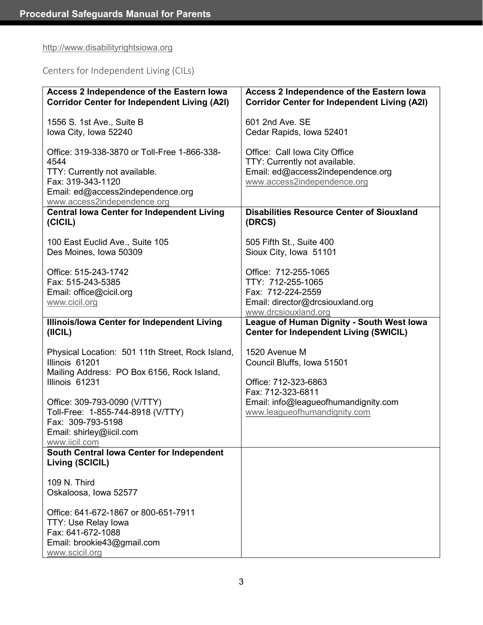# [http://www.disabilityrightsiowa.org](http://www.disabilityrightsiowa.org/)

<span id="page-9-0"></span>Centers for Independent Living (CILs)

| Access 2 Independence of the Eastern lowa                                        | Access 2 Independence of the Eastern Iowa                                                  |
|----------------------------------------------------------------------------------|--------------------------------------------------------------------------------------------|
| <b>Corridor Center for Independent Living (A2I)</b>                              | <b>Corridor Center for Independent Living (A2I)</b>                                        |
| 1556 S. 1st Ave., Suite B                                                        | 601 2nd Ave. SE                                                                            |
| lowa City, Iowa 52240                                                            | Cedar Rapids, Iowa 52401                                                                   |
| Office: 319-338-3870 or Toll-Free 1-866-338-                                     | Office: Call Iowa City Office                                                              |
| 4544                                                                             | TTY: Currently not available.                                                              |
| TTY: Currently not available.                                                    | Email: ed@access2independence.org                                                          |
| Fax: 319-343-1120                                                                | www.access2independence.org                                                                |
| Email: ed@access2independence.org                                                |                                                                                            |
| www.access2independence.org<br><b>Central lowa Center for Independent Living</b> | <b>Disabilities Resource Center of Siouxland</b>                                           |
| (CICIL)                                                                          | (DRCS)                                                                                     |
| 100 East Euclid Ave., Suite 105                                                  | 505 Fifth St., Suite 400                                                                   |
| Des Moines, Iowa 50309                                                           | Sioux City, Iowa 51101                                                                     |
| Office: 515-243-1742                                                             | Office: 712-255-1065                                                                       |
| Fax: 515-243-5385                                                                | TTY: 712-255-1065                                                                          |
| Email: office@cicil.org                                                          | Fax: 712-224-2559                                                                          |
| www.cicil.org                                                                    | Email: director@drcsiouxland.org                                                           |
|                                                                                  | www.drcsiouxland.org                                                                       |
| Illinois/Iowa Center for Independent Living<br>(ICIL)                            | League of Human Dignity - South West Iowa<br><b>Center for Independent Living (SWICIL)</b> |
| Physical Location: 501 11th Street, Rock Island,                                 | 1520 Avenue M                                                                              |
| Illinois 61201                                                                   | Council Bluffs, Iowa 51501                                                                 |
| Mailing Address: PO Box 6156, Rock Island,                                       |                                                                                            |
| Illinois 61231                                                                   | Office: 712-323-6863                                                                       |
|                                                                                  | Fax: 712-323-6811                                                                          |
| Office: 309-793-0090 (V/TTY)                                                     | Email: info@leagueofhumandignity.com                                                       |
| Toll-Free: 1-855-744-8918 (V/TTY)                                                | www.leagueofhumandignity.com                                                               |
| Fax: 309-793-5198                                                                |                                                                                            |
|                                                                                  |                                                                                            |
| Email: shirley@iicil.com                                                         |                                                                                            |
| www.iicil.com                                                                    |                                                                                            |
| South Central lowa Center for Independent<br>Living (SCICIL)                     |                                                                                            |
|                                                                                  |                                                                                            |
| 109 N. Third<br>Oskaloosa, Iowa 52577                                            |                                                                                            |
|                                                                                  |                                                                                            |
| Office: 641-672-1867 or 800-651-7911                                             |                                                                                            |
| TTY: Use Relay lowa                                                              |                                                                                            |
| Fax: 641-672-1088<br>Email: brookie43@gmail.com                                  |                                                                                            |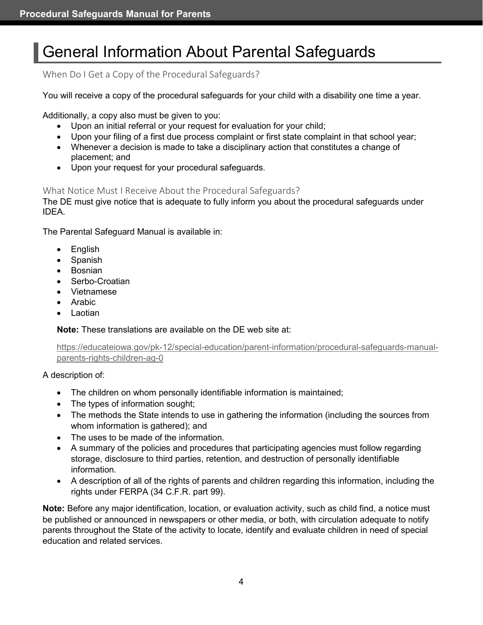# <span id="page-10-0"></span>General Information About Parental Safeguards

<span id="page-10-1"></span>When Do I Get a Copy of the Procedural Safeguards?

You will receive a copy of the procedural safeguards for your child with a disability one time a year.

Additionally, a copy also must be given to you:

- Upon an initial referral or your request for evaluation for your child;
- Upon your filing of a first due process complaint or first state complaint in that school year;
- Whenever a decision is made to take a disciplinary action that constitutes a change of placement; and
- Upon your request for your procedural safeguards.

#### <span id="page-10-2"></span>What Notice Must I Receive About the Procedural Safeguards?

The DE must give notice that is adequate to fully inform you about the procedural safeguards under IDEA.

The Parental Safeguard Manual is available in:

- English
- Spanish
- Bosnian
- Serbo-Croatian
- Vietnamese
- Arabic
- Laotian

**Note:** These translations are available on the DE web site at:

[https://educateiowa.gov/pk-12/special-education/parent-information/procedural-safeguards-manual](https://educateiowa.gov/pk-12/special-education/parent-information/procedural-safeguards-manual-parents-rights-children-ag-0)[parents-rights-children-ag-0](https://educateiowa.gov/pk-12/special-education/parent-information/procedural-safeguards-manual-parents-rights-children-ag-0)

A description of:

- The children on whom personally identifiable information is maintained;
- The types of information sought;
- The methods the State intends to use in gathering the information (including the sources from whom information is gathered); and
- The uses to be made of the information.
- A summary of the policies and procedures that participating agencies must follow regarding storage, disclosure to third parties, retention, and destruction of personally identifiable information.
- A description of all of the rights of parents and children regarding this information, including the rights under FERPA (34 C.F.R. part 99).

**Note:** Before any major identification, location, or evaluation activity, such as child find, a notice must be published or announced in newspapers or other media, or both, with circulation adequate to notify parents throughout the State of the activity to locate, identify and evaluate children in need of special education and related services.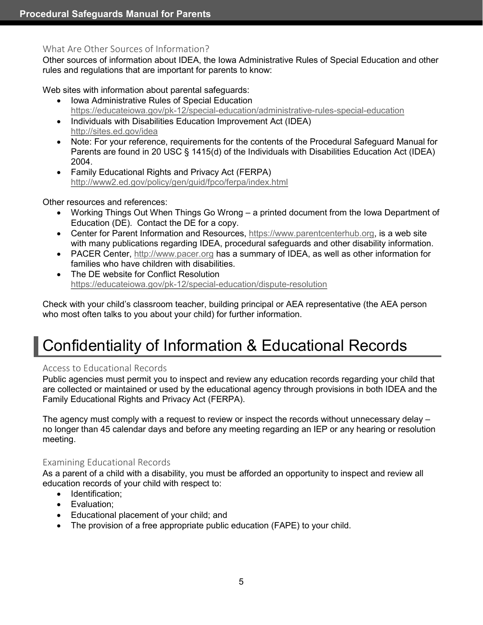# <span id="page-11-0"></span>What Are Other Sources of Information?

Other sources of information about IDEA, the Iowa Administrative Rules of Special Education and other rules and regulations that are important for parents to know:

Web sites with information about parental safeguards:

- Iowa Administrative Rules of Special Education <https://educateiowa.gov/pk-12/special-education/administrative-rules-special-education>
- Individuals with Disabilities Education Improvement Act (IDEA) [http://sites.ed.gov/id](http://sites.ed.gov/)ea
- Note: For your reference, requirements for the contents of the Procedural Safeguard Manual for Parents are found in 20 USC § 1415(d) of the Individuals with Disabilities Education Act (IDEA) 2004.
- Family Educational Rights and Privacy Act (FERPA) <http://www2.ed.gov/policy/gen/guid/fpco/ferpa/index.html>

Other resources and references:

- Working Things Out When Things Go Wrong a printed document from the Iowa Department of Education (DE). Contact the DE for a copy.
- Center for Parent Information and Resources, [https://www.parentcenterhub.org,](https://www.parentcenterhub.org/) is a web site with many publications regarding IDEA, procedural safeguards and other disability information.
- PACER Center, [http://www.pacer.org](http://www.pacer.org/legislation/idea/index.asp) has a summary of IDEA, as well as other information for families who have children with disabilities.
- The DE website for Conflict Resolution <https://educateiowa.gov/pk-12/special-education/dispute-resolution>

Check with your child's classroom teacher, building principal or AEA representative (the AEA person who most often talks to you about your child) for further information.

# <span id="page-11-1"></span>Confidentiality of Information & Educational Records

# <span id="page-11-2"></span>Access to Educational Records

Public agencies must permit you to inspect and review any education records regarding your child that are collected or maintained or used by the educational agency through provisions in both IDEA and the Family Educational Rights and Privacy Act (FERPA).

The agency must comply with a request to review or inspect the records without unnecessary delay – no longer than 45 calendar days and before any meeting regarding an IEP or any hearing or resolution meeting.

# <span id="page-11-3"></span>Examining Educational Records

As a parent of a child with a disability, you must be afforded an opportunity to inspect and review all education records of your child with respect to:

- Identification;
- Evaluation;
- Educational placement of your child; and
- The provision of a free appropriate public education (FAPE) to your child.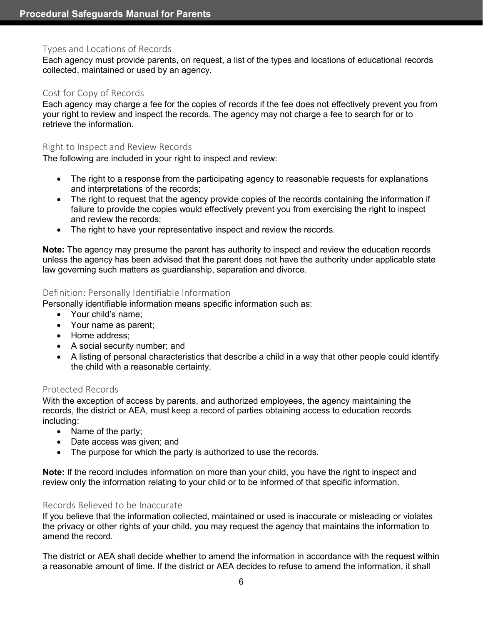#### <span id="page-12-0"></span>Types and Locations of Records

Each agency must provide parents, on request, a list of the types and locations of educational records collected, maintained or used by an agency.

#### <span id="page-12-1"></span>Cost for Copy of Records

Each agency may charge a fee for the copies of records if the fee does not effectively prevent you from your right to review and inspect the records. The agency may not charge a fee to search for or to retrieve the information.

#### <span id="page-12-2"></span>Right to Inspect and Review Records

The following are included in your right to inspect and review:

- The right to a response from the participating agency to reasonable requests for explanations and interpretations of the records;
- The right to request that the agency provide copies of the records containing the information if failure to provide the copies would effectively prevent you from exercising the right to inspect and review the records;
- The right to have your representative inspect and review the records.

**Note:** The agency may presume the parent has authority to inspect and review the education records unless the agency has been advised that the parent does not have the authority under applicable state law governing such matters as guardianship, separation and divorce.

#### <span id="page-12-3"></span>Definition: Personally Identifiable Information

Personally identifiable information means specific information such as:

- Your child's name;
- Your name as parent;
- Home address;
- A social security number; and
- A listing of personal characteristics that describe a child in a way that other people could identify the child with a reasonable certainty.

#### <span id="page-12-4"></span>Protected Records

With the exception of access by parents, and authorized employees, the agency maintaining the records, the district or AEA, must keep a record of parties obtaining access to education records including:

- Name of the party;
- Date access was given; and
- The purpose for which the party is authorized to use the records.

**Note:** If the record includes information on more than your child, you have the right to inspect and review only the information relating to your child or to be informed of that specific information.

#### <span id="page-12-5"></span>Records Believed to be Inaccurate

If you believe that the information collected, maintained or used is inaccurate or misleading or violates the privacy or other rights of your child, you may request the agency that maintains the information to amend the record.

The district or AEA shall decide whether to amend the information in accordance with the request within a reasonable amount of time. If the district or AEA decides to refuse to amend the information, it shall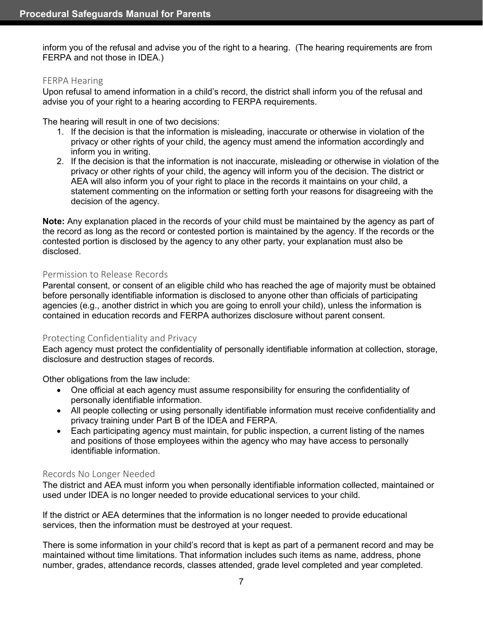inform you of the refusal and advise you of the right to a hearing. (The hearing requirements are from FERPA and not those in IDEA.)

#### <span id="page-13-0"></span>FERPA Hearing

Upon refusal to amend information in a child's record, the district shall inform you of the refusal and advise you of your right to a hearing according to FERPA requirements.

The hearing will result in one of two decisions:

- 1. If the decision is that the information is misleading, inaccurate or otherwise in violation of the privacy or other rights of your child, the agency must amend the information accordingly and inform you in writing.
- 2. If the decision is that the information is not inaccurate, misleading or otherwise in violation of the privacy or other rights of your child, the agency will inform you of the decision. The district or AEA will also inform you of your right to place in the records it maintains on your child, a statement commenting on the information or setting forth your reasons for disagreeing with the decision of the agency.

**Note:** Any explanation placed in the records of your child must be maintained by the agency as part of the record as long as the record or contested portion is maintained by the agency. If the records or the contested portion is disclosed by the agency to any other party, your explanation must also be disclosed.

#### <span id="page-13-1"></span>Permission to Release Records

Parental consent, or consent of an eligible child who has reached the age of majority must be obtained before personally identifiable information is disclosed to anyone other than officials of participating agencies (e.g., another district in which you are going to enroll your child), unless the information is contained in education records and FERPA authorizes disclosure without parent consent.

#### <span id="page-13-2"></span>Protecting Confidentiality and Privacy

Each agency must protect the confidentiality of personally identifiable information at collection, storage, disclosure and destruction stages of records.

Other obligations from the law include:

- One official at each agency must assume responsibility for ensuring the confidentiality of personally identifiable information.
- All people collecting or using personally identifiable information must receive confidentiality and privacy training under Part B of the IDEA and FERPA.
- Each participating agency must maintain, for public inspection, a current listing of the names and positions of those employees within the agency who may have access to personally identifiable information.

#### <span id="page-13-3"></span>Records No Longer Needed

The district and AEA must inform you when personally identifiable information collected, maintained or used under IDEA is no longer needed to provide educational services to your child.

If the district or AEA determines that the information is no longer needed to provide educational services, then the information must be destroyed at your request.

There is some information in your child's record that is kept as part of a permanent record and may be maintained without time limitations. That information includes such items as name, address, phone number, grades, attendance records, classes attended, grade level completed and year completed.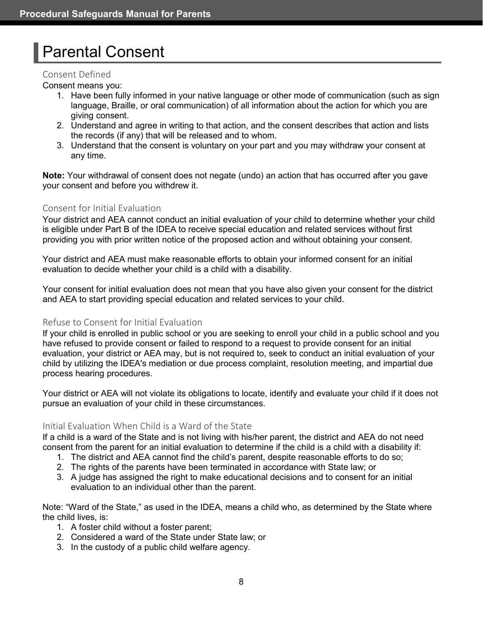# <span id="page-14-0"></span>Parental Consent

#### <span id="page-14-1"></span>Consent Defined

Consent means you:

- 1. Have been fully informed in your native language or other mode of communication (such as sign language, Braille, or oral communication) of all information about the action for which you are giving consent.
- 2. Understand and agree in writing to that action, and the consent describes that action and lists the records (if any) that will be released and to whom.
- 3. Understand that the consent is voluntary on your part and you may withdraw your consent at any time.

**Note:** Your withdrawal of consent does not negate (undo) an action that has occurred after you gave your consent and before you withdrew it.

# <span id="page-14-2"></span>Consent for Initial Evaluation

Your district and AEA cannot conduct an initial evaluation of your child to determine whether your child is eligible under Part B of the IDEA to receive special education and related services without first providing you with prior written notice of the proposed action and without obtaining your consent.

Your district and AEA must make reasonable efforts to obtain your informed consent for an initial evaluation to decide whether your child is a child with a disability.

Your consent for initial evaluation does not mean that you have also given your consent for the district and AEA to start providing special education and related services to your child.

# <span id="page-14-3"></span>Refuse to Consent for Initial Evaluation

If your child is enrolled in public school or you are seeking to enroll your child in a public school and you have refused to provide consent or failed to respond to a request to provide consent for an initial evaluation, your district or AEA may, but is not required to, seek to conduct an initial evaluation of your child by utilizing the IDEA's mediation or due process complaint, resolution meeting, and impartial due process hearing procedures.

Your district or AEA will not violate its obligations to locate, identify and evaluate your child if it does not pursue an evaluation of your child in these circumstances.

# <span id="page-14-4"></span>Initial Evaluation When Child is a Ward of the State

If a child is a ward of the State and is not living with his/her parent, the district and AEA do not need consent from the parent for an initial evaluation to determine if the child is a child with a disability if:

- 1. The district and AEA cannot find the child's parent, despite reasonable efforts to do so;
- 2. The rights of the parents have been terminated in accordance with State law; or
- 3. A judge has assigned the right to make educational decisions and to consent for an initial evaluation to an individual other than the parent.

Note: "Ward of the State," as used in the IDEA, means a child who, as determined by the State where the child lives, is:

- 1. A foster child without a foster parent;
- 2. Considered a ward of the State under State law; or
- 3. In the custody of a public child welfare agency.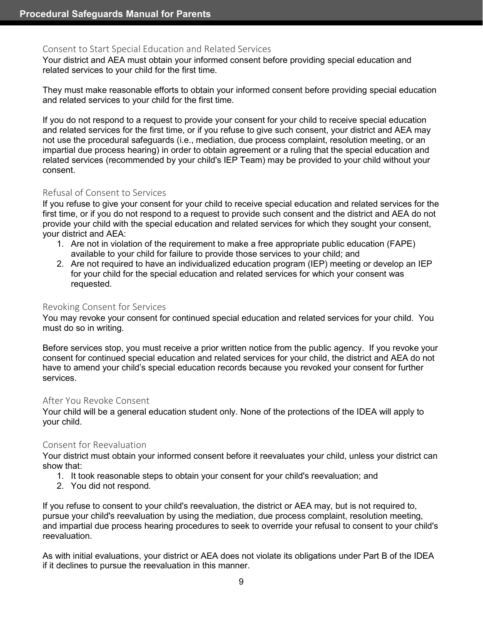### <span id="page-15-0"></span>Consent to Start Special Education and Related Services

Your district and AEA must obtain your informed consent before providing special education and related services to your child for the first time.

They must make reasonable efforts to obtain your informed consent before providing special education and related services to your child for the first time.

If you do not respond to a request to provide your consent for your child to receive special education and related services for the first time, or if you refuse to give such consent, your district and AEA may not use the procedural safeguards (i.e., mediation, due process complaint, resolution meeting, or an impartial due process hearing) in order to obtain agreement or a ruling that the special education and related services (recommended by your child's IEP Team) may be provided to your child without your consent.

### <span id="page-15-1"></span>Refusal of Consent to Services

If you refuse to give your consent for your child to receive special education and related services for the first time, or if you do not respond to a request to provide such consent and the district and AEA do not provide your child with the special education and related services for which they sought your consent, your district and AEA:

- 1. Are not in violation of the requirement to make a free appropriate public education (FAPE) available to your child for failure to provide those services to your child; and
- 2. Are not required to have an individualized education program (IEP) meeting or develop an IEP for your child for the special education and related services for which your consent was requested.

#### <span id="page-15-2"></span>Revoking Consent for Services

You may revoke your consent for continued special education and related services for your child. You must do so in writing.

Before services stop, you must receive a prior written notice from the public agency. If you revoke your consent for continued special education and related services for your child, the district and AEA do not have to amend your child's special education records because you revoked your consent for further services.

#### <span id="page-15-3"></span>After You Revoke Consent

Your child will be a general education student only. None of the protections of the IDEA will apply to your child.

#### <span id="page-15-4"></span>Consent for Reevaluation

Your district must obtain your informed consent before it reevaluates your child, unless your district can show that:

- 1. It took reasonable steps to obtain your consent for your child's reevaluation; and
- 2. You did not respond.

If you refuse to consent to your child's reevaluation, the district or AEA may, but is not required to, pursue your child's reevaluation by using the mediation, due process complaint, resolution meeting, and impartial due process hearing procedures to seek to override your refusal to consent to your child's reevaluation.

As with initial evaluations, your district or AEA does not violate its obligations under Part B of the IDEA if it declines to pursue the reevaluation in this manner.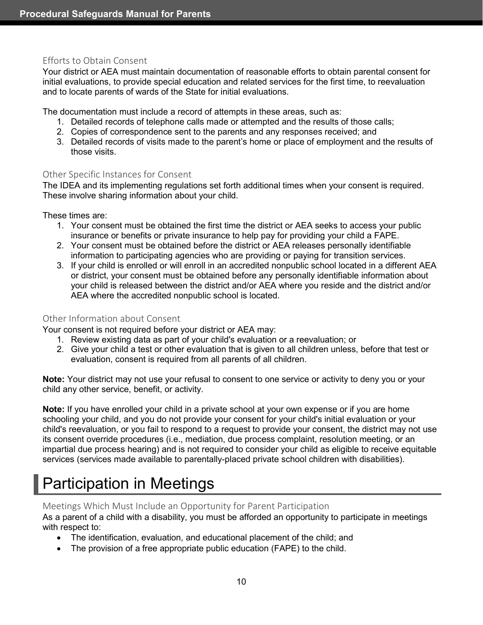### <span id="page-16-0"></span>Efforts to Obtain Consent

Your district or AEA must maintain documentation of reasonable efforts to obtain parental consent for initial evaluations, to provide special education and related services for the first time, to reevaluation and to locate parents of wards of the State for initial evaluations.

The documentation must include a record of attempts in these areas, such as:

- 1. Detailed records of telephone calls made or attempted and the results of those calls;
- 2. Copies of correspondence sent to the parents and any responses received; and
- 3. Detailed records of visits made to the parent's home or place of employment and the results of those visits.

#### <span id="page-16-1"></span>Other Specific Instances for Consent

The IDEA and its implementing regulations set forth additional times when your consent is required. These involve sharing information about your child.

These times are:

- 1. Your consent must be obtained the first time the district or AEA seeks to access your public insurance or benefits or private insurance to help pay for providing your child a FAPE.
- 2. Your consent must be obtained before the district or AEA releases personally identifiable information to participating agencies who are providing or paying for transition services.
- 3. If your child is enrolled or will enroll in an accredited nonpublic school located in a different AEA or district, your consent must be obtained before any personally identifiable information about your child is released between the district and/or AEA where you reside and the district and/or AEA where the accredited nonpublic school is located.

#### <span id="page-16-2"></span>Other Information about Consent

Your consent is not required before your district or AEA may:

- 1. Review existing data as part of your child's evaluation or a reevaluation; or
- 2. Give your child a test or other evaluation that is given to all children unless, before that test or evaluation, consent is required from all parents of all children.

**Note:** Your district may not use your refusal to consent to one service or activity to deny you or your child any other service, benefit, or activity.

**Note:** If you have enrolled your child in a private school at your own expense or if you are home schooling your child, and you do not provide your consent for your child's initial evaluation or your child's reevaluation, or you fail to respond to a request to provide your consent, the district may not use its consent override procedures (i.e., mediation, due process complaint, resolution meeting, or an impartial due process hearing) and is not required to consider your child as eligible to receive equitable services (services made available to parentally-placed private school children with disabilities).

# <span id="page-16-3"></span>Participation in Meetings

<span id="page-16-4"></span>Meetings Which Must Include an Opportunity for Parent Participation

As a parent of a child with a disability, you must be afforded an opportunity to participate in meetings with respect to:

- The identification, evaluation, and educational placement of the child; and
- The provision of a free appropriate public education (FAPE) to the child.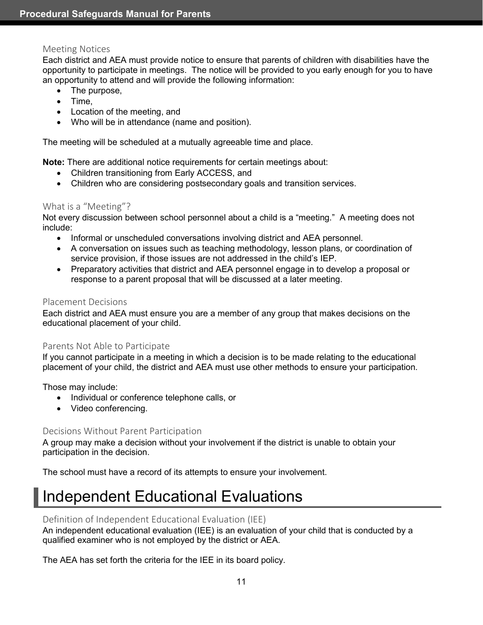### <span id="page-17-0"></span>Meeting Notices

Each district and AEA must provide notice to ensure that parents of children with disabilities have the opportunity to participate in meetings. The notice will be provided to you early enough for you to have an opportunity to attend and will provide the following information:

- The purpose,
- Time,
- Location of the meeting, and
- Who will be in attendance (name and position).

The meeting will be scheduled at a mutually agreeable time and place.

**Note:** There are additional notice requirements for certain meetings about:

- Children transitioning from Early ACCESS, and
- Children who are considering postsecondary goals and transition services.

### <span id="page-17-1"></span>What is a "Meeting"?

Not every discussion between school personnel about a child is a "meeting." A meeting does not include:

- Informal or unscheduled conversations involving district and AEA personnel.
- A conversation on issues such as teaching methodology, lesson plans, or coordination of service provision, if those issues are not addressed in the child's IEP.
- Preparatory activities that district and AEA personnel engage in to develop a proposal or response to a parent proposal that will be discussed at a later meeting.

#### <span id="page-17-2"></span>Placement Decisions

Each district and AEA must ensure you are a member of any group that makes decisions on the educational placement of your child.

#### <span id="page-17-3"></span>Parents Not Able to Participate

If you cannot participate in a meeting in which a decision is to be made relating to the educational placement of your child, the district and AEA must use other methods to ensure your participation.

Those may include:

- Individual or conference telephone calls, or
- Video conferencing.

#### <span id="page-17-4"></span>Decisions Without Parent Participation

A group may make a decision without your involvement if the district is unable to obtain your participation in the decision.

The school must have a record of its attempts to ensure your involvement.

# <span id="page-17-5"></span>Independent Educational Evaluations

# <span id="page-17-6"></span>Definition of Independent Educational Evaluation (IEE)

An independent educational evaluation (IEE) is an evaluation of your child that is conducted by a qualified examiner who is not employed by the district or AEA.

The AEA has set forth the criteria for the IEE in its board policy.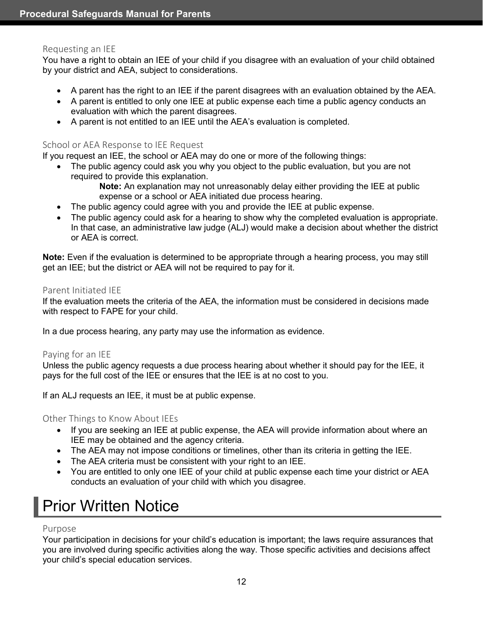#### <span id="page-18-0"></span>Requesting an IEE

You have a right to obtain an IEE of your child if you disagree with an evaluation of your child obtained by your district and AEA, subject to considerations.

- A parent has the right to an IEE if the parent disagrees with an evaluation obtained by the AEA.
- A parent is entitled to only one IEE at public expense each time a public agency conducts an evaluation with which the parent disagrees.
- A parent is not entitled to an IEE until the AEA's evaluation is completed.

### <span id="page-18-1"></span>School or AEA Response to IEE Request

If you request an IEE, the school or AEA may do one or more of the following things:

- The public agency could ask you why you object to the public evaluation, but you are not required to provide this explanation.
	- **Note:** An explanation may not unreasonably delay either providing the IEE at public expense or a school or AEA initiated due process hearing.
- The public agency could agree with you and provide the IEE at public expense.
- The public agency could ask for a hearing to show why the completed evaluation is appropriate. In that case, an administrative law judge (ALJ) would make a decision about whether the district or AEA is correct.

**Note:** Even if the evaluation is determined to be appropriate through a hearing process, you may still get an IEE; but the district or AEA will not be required to pay for it.

#### <span id="page-18-2"></span>Parent Initiated IEE

If the evaluation meets the criteria of the AEA, the information must be considered in decisions made with respect to FAPE for your child.

In a due process hearing, any party may use the information as evidence.

#### <span id="page-18-3"></span>Paying for an IEE

Unless the public agency requests a due process hearing about whether it should pay for the IEE, it pays for the full cost of the IEE or ensures that the IEE is at no cost to you.

If an ALJ requests an IEE, it must be at public expense.

#### <span id="page-18-4"></span>Other Things to Know About IEEs

- If you are seeking an IEE at public expense, the AEA will provide information about where an IEE may be obtained and the agency criteria.
- The AEA may not impose conditions or timelines, other than its criteria in getting the IEE.
- The AEA criteria must be consistent with your right to an IEE.
- You are entitled to only one IEE of your child at public expense each time your district or AEA conducts an evaluation of your child with which you disagree.

# <span id="page-18-5"></span>Prior Written Notice

#### <span id="page-18-6"></span>Purpose

Your participation in decisions for your child's education is important; the laws require assurances that you are involved during specific activities along the way. Those specific activities and decisions affect your child's special education services.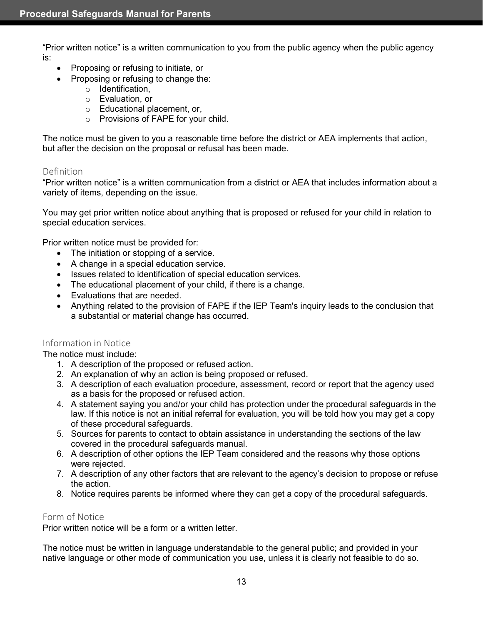"Prior written notice" is a written communication to you from the public agency when the public agency is:

- Proposing or refusing to initiate, or
- Proposing or refusing to change the:
	- o Identification,
	- o Evaluation, or
	- o Educational placement, or,
	- o Provisions of FAPE for your child.

The notice must be given to you a reasonable time before the district or AEA implements that action, but after the decision on the proposal or refusal has been made.

#### <span id="page-19-0"></span>Definition

"Prior written notice" is a written communication from a district or AEA that includes information about a variety of items, depending on the issue.

You may get prior written notice about anything that is proposed or refused for your child in relation to special education services.

Prior written notice must be provided for:

- The initiation or stopping of a service.
- A change in a special education service.
- Issues related to identification of special education services.
- The educational placement of your child, if there is a change.
- Evaluations that are needed.
- Anything related to the provision of FAPE if the IEP Team's inquiry leads to the conclusion that a substantial or material change has occurred.

#### <span id="page-19-1"></span>Information in Notice

The notice must include:

- 1. A description of the proposed or refused action.
- 2. An explanation of why an action is being proposed or refused.
- 3. A description of each evaluation procedure, assessment, record or report that the agency used as a basis for the proposed or refused action.
- 4. A statement saying you and/or your child has protection under the procedural safeguards in the law. If this notice is not an initial referral for evaluation, you will be told how you may get a copy of these procedural safeguards.
- 5. Sources for parents to contact to obtain assistance in understanding the sections of the law covered in the procedural safeguards manual.
- 6. A description of other options the IEP Team considered and the reasons why those options were rejected.
- 7. A description of any other factors that are relevant to the agency's decision to propose or refuse the action.
- 8. Notice requires parents be informed where they can get a copy of the procedural safeguards.

#### <span id="page-19-2"></span>Form of Notice

Prior written notice will be a form or a written letter.

The notice must be written in language understandable to the general public; and provided in your native language or other mode of communication you use, unless it is clearly not feasible to do so.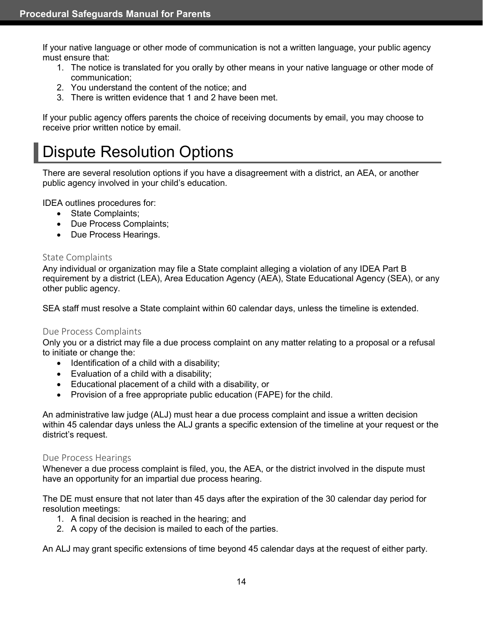If your native language or other mode of communication is not a written language, your public agency must ensure that:

- 1. The notice is translated for you orally by other means in your native language or other mode of communication;
- 2. You understand the content of the notice; and
- 3. There is written evidence that 1 and 2 have been met.

If your public agency offers parents the choice of receiving documents by email, you may choose to receive prior written notice by email.

# <span id="page-20-0"></span>Dispute Resolution Options

There are several resolution options if you have a disagreement with a district, an AEA, or another public agency involved in your child's education.

IDEA outlines procedures for:

- State Complaints;
- Due Process Complaints;
- Due Process Hearings.

#### <span id="page-20-1"></span>State Complaints

Any individual or organization may file a State complaint alleging a violation of any IDEA Part B requirement by a district (LEA), Area Education Agency (AEA), State Educational Agency (SEA), or any other public agency.

SEA staff must resolve a State complaint within 60 calendar days, unless the timeline is extended.

#### <span id="page-20-2"></span>Due Process Complaints

Only you or a district may file a due process complaint on any matter relating to a proposal or a refusal to initiate or change the:

- Identification of a child with a disability;
- Evaluation of a child with a disability;
- Educational placement of a child with a disability, or
- Provision of a free appropriate public education (FAPE) for the child.

An administrative law judge (ALJ) must hear a due process complaint and issue a written decision within 45 calendar days unless the ALJ grants a specific extension of the timeline at your request or the district's request.

#### <span id="page-20-3"></span>Due Process Hearings

Whenever a due process complaint is filed, you, the AEA, or the district involved in the dispute must have an opportunity for an impartial due process hearing.

The DE must ensure that not later than 45 days after the expiration of the 30 calendar day period for resolution meetings:

- 1. A final decision is reached in the hearing; and
- 2. A copy of the decision is mailed to each of the parties.

An ALJ may grant specific extensions of time beyond 45 calendar days at the request of either party.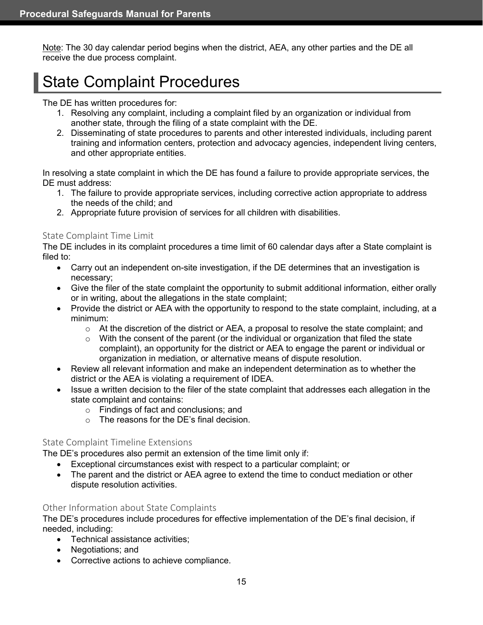Note: The 30 day calendar period begins when the district, AEA, any other parties and the DE all receive the due process complaint.

# <span id="page-21-0"></span>State Complaint Procedures

#### The DE has written procedures for:

- 1. Resolving any complaint, including a complaint filed by an organization or individual from another state, through the filing of a state complaint with the DE.
- 2. Disseminating of state procedures to parents and other interested individuals, including parent training and information centers, protection and advocacy agencies, independent living centers, and other appropriate entities.

In resolving a state complaint in which the DE has found a failure to provide appropriate services, the DE must address:

- 1. The failure to provide appropriate services, including corrective action appropriate to address the needs of the child; and
- 2. Appropriate future provision of services for all children with disabilities.

### <span id="page-21-1"></span>State Complaint Time Limit

The DE includes in its complaint procedures a time limit of 60 calendar days after a State complaint is filed to:

- Carry out an independent on-site investigation, if the DE determines that an investigation is necessary;
- Give the filer of the state complaint the opportunity to submit additional information, either orally or in writing, about the allegations in the state complaint;
- Provide the district or AEA with the opportunity to respond to the state complaint, including, at a minimum:
	- $\circ$  At the discretion of the district or AEA, a proposal to resolve the state complaint; and
	- $\circ$  With the consent of the parent (or the individual or organization that filed the state complaint), an opportunity for the district or AEA to engage the parent or individual or organization in mediation, or alternative means of dispute resolution.
- Review all relevant information and make an independent determination as to whether the district or the AEA is violating a requirement of IDEA.
- Issue a written decision to the filer of the state complaint that addresses each allegation in the state complaint and contains:
	- o Findings of fact and conclusions; and
	- o The reasons for the DE's final decision.

# <span id="page-21-2"></span>State Complaint Timeline Extensions

The DE's procedures also permit an extension of the time limit only if:

- Exceptional circumstances exist with respect to a particular complaint; or
- The parent and the district or AEA agree to extend the time to conduct mediation or other dispute resolution activities.

# <span id="page-21-3"></span>Other Information about State Complaints

The DE's procedures include procedures for effective implementation of the DE's final decision, if needed, including:

- Technical assistance activities;
- Negotiations; and
- Corrective actions to achieve compliance.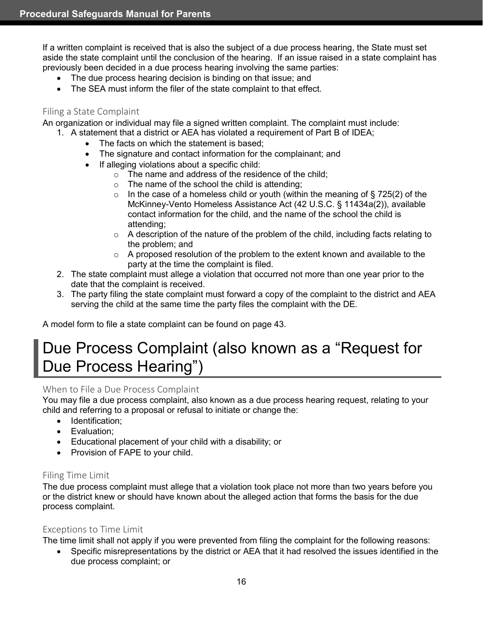If a written complaint is received that is also the subject of a due process hearing, the State must set aside the state complaint until the conclusion of the hearing. If an issue raised in a state complaint has previously been decided in a due process hearing involving the same parties:

- The due process hearing decision is binding on that issue; and
- The SEA must inform the filer of the state complaint to that effect.

### <span id="page-22-0"></span>Filing a State Complaint

An organization or individual may file a signed written complaint. The complaint must include:

- 1. A statement that a district or AEA has violated a requirement of Part B of IDEA;
	- The facts on which the statement is based;
	- The signature and contact information for the complainant; and
	- If alleging violations about a specific child:
		- $\circ$  The name and address of the residence of the child:
		- $\circ$  The name of the school the child is attending;
		- $\circ$  In the case of a homeless child or youth (within the meaning of § 725(2) of the McKinney-Vento Homeless Assistance Act (42 U.S.C. § 11434a(2)), available contact information for the child, and the name of the school the child is attending;
		- $\circ$  A description of the nature of the problem of the child, including facts relating to the problem; and
		- $\circ$  A proposed resolution of the problem to the extent known and available to the party at the time the complaint is filed.
- 2. The state complaint must allege a violation that occurred not more than one year prior to the date that the complaint is received.
- 3. The party filing the state complaint must forward a copy of the complaint to the district and AEA serving the child at the same time the party files the complaint with the DE.

A model form to file a state complaint can be found on page 43.

# <span id="page-22-1"></span>Due Process Complaint (also known as a "Request for Due Process Hearing")

# <span id="page-22-2"></span>When to File a Due Process Complaint

You may file a due process complaint, also known as a due process hearing request, relating to your child and referring to a proposal or refusal to initiate or change the:

- Identification:
- Evaluation;
- Educational placement of your child with a disability; or
- Provision of FAPE to your child.

# <span id="page-22-3"></span>Filing Time Limit

The due process complaint must allege that a violation took place not more than two years before you or the district knew or should have known about the alleged action that forms the basis for the due process complaint.

# <span id="page-22-4"></span>Exceptions to Time Limit

The time limit shall not apply if you were prevented from filing the complaint for the following reasons:

• Specific misrepresentations by the district or AEA that it had resolved the issues identified in the due process complaint; or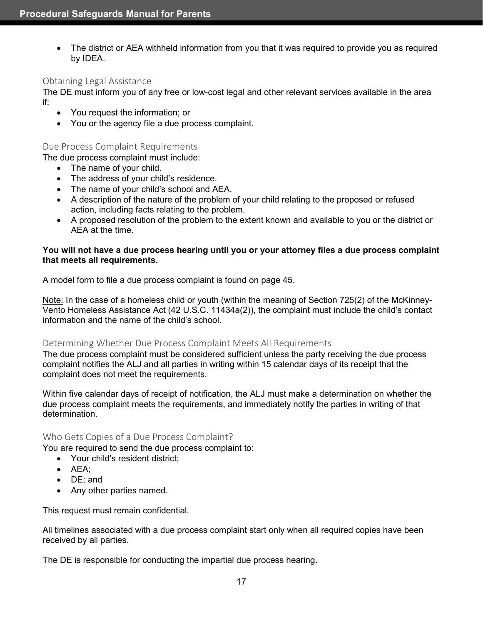• The district or AEA withheld information from you that it was required to provide you as required by IDEA.

#### <span id="page-23-0"></span>Obtaining Legal Assistance

The DE must inform you of any free or low-cost legal and other relevant services available in the area if:

- You request the information; or
- You or the agency file a due process complaint.

#### <span id="page-23-1"></span>Due Process Complaint Requirements

The due process complaint must include:

- The name of your child.
- The address of your child's residence.
- The name of your child's school and AEA.
- A description of the nature of the problem of your child relating to the proposed or refused action, including facts relating to the problem.
- A proposed resolution of the problem to the extent known and available to you or the district or AEA at the time.

#### **You will not have a due process hearing until you or your attorney files a due process complaint that meets all requirements.**

A model form to file a due process complaint is found on page 45.

Note: In the case of a homeless child or youth (within the meaning of Section 725(2) of the McKinney-Vento Homeless Assistance Act (42 U.S.C. 11434a(2)), the complaint must include the child's contact information and the name of the child's school.

#### <span id="page-23-2"></span>Determining Whether Due Process Complaint Meets All Requirements

The due process complaint must be considered sufficient unless the party receiving the due process complaint notifies the ALJ and all parties in writing within 15 calendar days of its receipt that the complaint does not meet the requirements.

Within five calendar days of receipt of notification, the ALJ must make a determination on whether the due process complaint meets the requirements, and immediately notify the parties in writing of that determination.

#### <span id="page-23-3"></span>Who Gets Copies of a Due Process Complaint?

You are required to send the due process complaint to:

- Your child's resident district:
- AEA;
- DE; and
- Any other parties named.

This request must remain confidential.

All timelines associated with a due process complaint start only when all required copies have been received by all parties.

The DE is responsible for conducting the impartial due process hearing.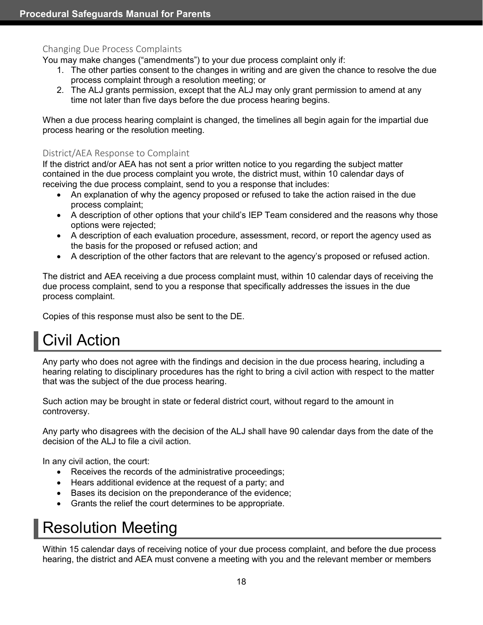### <span id="page-24-0"></span>Changing Due Process Complaints

You may make changes ("amendments") to your due process complaint only if:

- 1. The other parties consent to the changes in writing and are given the chance to resolve the due process complaint through a resolution meeting; or
- 2. The ALJ grants permission, except that the ALJ may only grant permission to amend at any time not later than five days before the due process hearing begins.

When a due process hearing complaint is changed, the timelines all begin again for the impartial due process hearing or the resolution meeting.

#### <span id="page-24-1"></span>District/AEA Response to Complaint

If the district and/or AEA has not sent a prior written notice to you regarding the subject matter contained in the due process complaint you wrote, the district must, within 10 calendar days of receiving the due process complaint, send to you a response that includes:

- An explanation of why the agency proposed or refused to take the action raised in the due process complaint;
- A description of other options that your child's IEP Team considered and the reasons why those options were rejected;
- A description of each evaluation procedure, assessment, record, or report the agency used as the basis for the proposed or refused action; and
- A description of the other factors that are relevant to the agency's proposed or refused action.

The district and AEA receiving a due process complaint must, within 10 calendar days of receiving the due process complaint, send to you a response that specifically addresses the issues in the due process complaint.

Copies of this response must also be sent to the DE.

# <span id="page-24-2"></span>Civil Action

Any party who does not agree with the findings and decision in the due process hearing, including a hearing relating to disciplinary procedures has the right to bring a civil action with respect to the matter that was the subject of the due process hearing.

Such action may be brought in state or federal district court, without regard to the amount in controversy.

Any party who disagrees with the decision of the ALJ shall have 90 calendar days from the date of the decision of the ALJ to file a civil action.

In any civil action, the court:

- Receives the records of the administrative proceedings;
- Hears additional evidence at the request of a party; and
- Bases its decision on the preponderance of the evidence;
- Grants the relief the court determines to be appropriate.

# <span id="page-24-3"></span>Resolution Meeting

Within 15 calendar days of receiving notice of your due process complaint, and before the due process hearing, the district and AEA must convene a meeting with you and the relevant member or members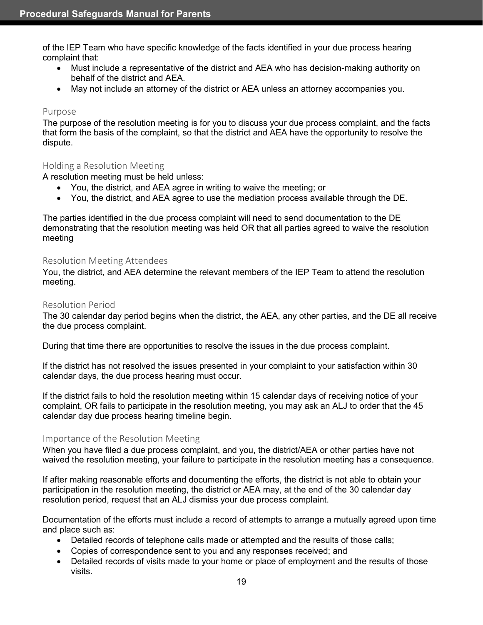of the IEP Team who have specific knowledge of the facts identified in your due process hearing complaint that:

- Must include a representative of the district and AEA who has decision-making authority on behalf of the district and AEA.
- May not include an attorney of the district or AEA unless an attorney accompanies you.

#### <span id="page-25-0"></span>Purpose

The purpose of the resolution meeting is for you to discuss your due process complaint, and the facts that form the basis of the complaint, so that the district and AEA have the opportunity to resolve the dispute.

#### <span id="page-25-1"></span>Holding a Resolution Meeting

A resolution meeting must be held unless:

- You, the district, and AEA agree in writing to waive the meeting; or
- You, the district, and AEA agree to use the mediation process available through the DE.

The parties identified in the due process complaint will need to send documentation to the DE demonstrating that the resolution meeting was held OR that all parties agreed to waive the resolution meeting

#### <span id="page-25-2"></span>Resolution Meeting Attendees

You, the district, and AEA determine the relevant members of the IEP Team to attend the resolution meeting.

#### <span id="page-25-3"></span>Resolution Period

The 30 calendar day period begins when the district, the AEA, any other parties, and the DE all receive the due process complaint.

During that time there are opportunities to resolve the issues in the due process complaint.

If the district has not resolved the issues presented in your complaint to your satisfaction within 30 calendar days, the due process hearing must occur.

If the district fails to hold the resolution meeting within 15 calendar days of receiving notice of your complaint, OR fails to participate in the resolution meeting, you may ask an ALJ to order that the 45 calendar day due process hearing timeline begin.

#### <span id="page-25-4"></span>Importance of the Resolution Meeting

When you have filed a due process complaint, and you, the district/AEA or other parties have not waived the resolution meeting, your failure to participate in the resolution meeting has a consequence.

If after making reasonable efforts and documenting the efforts, the district is not able to obtain your participation in the resolution meeting, the district or AEA may, at the end of the 30 calendar day resolution period, request that an ALJ dismiss your due process complaint.

Documentation of the efforts must include a record of attempts to arrange a mutually agreed upon time and place such as:

- Detailed records of telephone calls made or attempted and the results of those calls;
- Copies of correspondence sent to you and any responses received; and
- Detailed records of visits made to your home or place of employment and the results of those visits.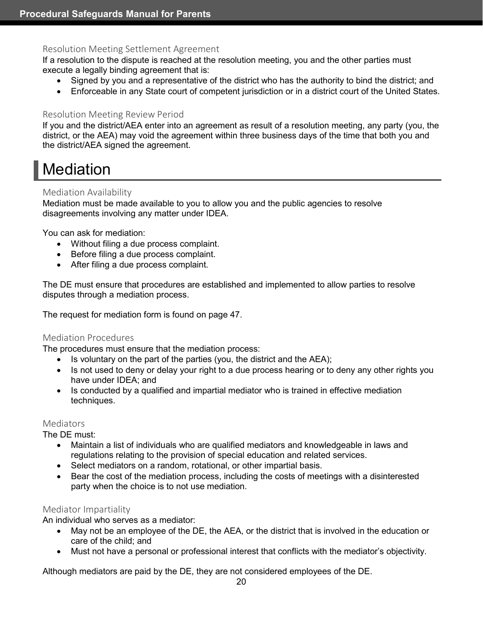#### <span id="page-26-0"></span>Resolution Meeting Settlement Agreement

If a resolution to the dispute is reached at the resolution meeting, you and the other parties must execute a legally binding agreement that is:

- Signed by you and a representative of the district who has the authority to bind the district; and
- Enforceable in any State court of competent jurisdiction or in a district court of the United States.

### <span id="page-26-1"></span>Resolution Meeting Review Period

If you and the district/AEA enter into an agreement as result of a resolution meeting, any party (you, the district, or the AEA) may void the agreement within three business days of the time that both you and the district/AEA signed the agreement.

# <span id="page-26-2"></span>**Mediation**

### <span id="page-26-3"></span>Mediation Availability

Mediation must be made available to you to allow you and the public agencies to resolve disagreements involving any matter under IDEA.

You can ask for mediation:

- Without filing a due process complaint.
- Before filing a due process complaint.
- After filing a due process complaint.

The DE must ensure that procedures are established and implemented to allow parties to resolve disputes through a mediation process.

The request for mediation form is found on page 47.

#### <span id="page-26-4"></span>Mediation Procedures

The procedures must ensure that the mediation process:

- Is voluntary on the part of the parties (you, the district and the AEA);
- Is not used to deny or delay your right to a due process hearing or to deny any other rights you have under IDEA; and
- Is conducted by a qualified and impartial mediator who is trained in effective mediation techniques.

#### <span id="page-26-5"></span>**Mediators**

The DE must:

- Maintain a list of individuals who are qualified mediators and knowledgeable in laws and regulations relating to the provision of special education and related services.
- Select mediators on a random, rotational, or other impartial basis.
- Bear the cost of the mediation process, including the costs of meetings with a disinterested party when the choice is to not use mediation.

# <span id="page-26-6"></span>Mediator Impartiality

An individual who serves as a mediator:

- May not be an employee of the DE, the AEA, or the district that is involved in the education or care of the child; and
- Must not have a personal or professional interest that conflicts with the mediator's objectivity.

Although mediators are paid by the DE, they are not considered employees of the DE.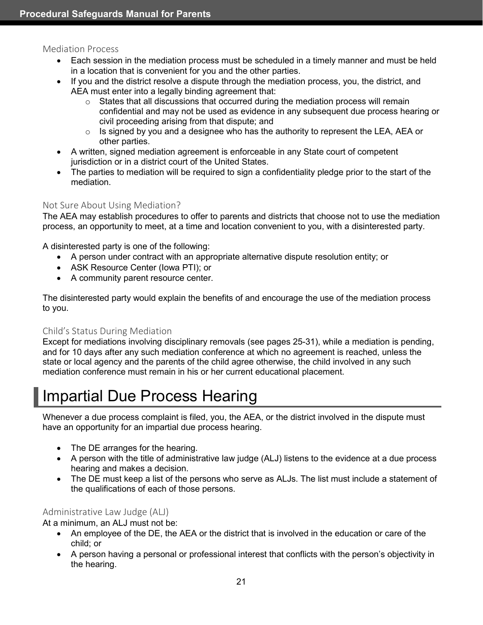#### <span id="page-27-0"></span>Mediation Process

- Each session in the mediation process must be scheduled in a timely manner and must be held in a location that is convenient for you and the other parties.
- If you and the district resolve a dispute through the mediation process, you, the district, and AEA must enter into a legally binding agreement that:
	- $\circ$  States that all discussions that occurred during the mediation process will remain confidential and may not be used as evidence in any subsequent due process hearing or civil proceeding arising from that dispute; and
	- $\circ$  Is signed by you and a designee who has the authority to represent the LEA, AEA or other parties.
- A written, signed mediation agreement is enforceable in any State court of competent jurisdiction or in a district court of the United States.
- The parties to mediation will be required to sign a confidentiality pledge prior to the start of the mediation.

# <span id="page-27-1"></span>Not Sure About Using Mediation?

The AEA may establish procedures to offer to parents and districts that choose not to use the mediation process, an opportunity to meet, at a time and location convenient to you, with a disinterested party.

A disinterested party is one of the following:

- A person under contract with an appropriate alternative dispute resolution entity; or
- ASK Resource Center (Iowa PTI); or
- A community parent resource center.

The disinterested party would explain the benefits of and encourage the use of the mediation process to you.

# <span id="page-27-2"></span>Child's Status During Mediation

Except for mediations involving disciplinary removals (see pages 25-31), while a mediation is pending, and for 10 days after any such mediation conference at which no agreement is reached, unless the state or local agency and the parents of the child agree otherwise, the child involved in any such mediation conference must remain in his or her current educational placement.

# <span id="page-27-3"></span>Impartial Due Process Hearing

Whenever a due process complaint is filed, you, the AEA, or the district involved in the dispute must have an opportunity for an impartial due process hearing.

- The DE arranges for the hearing.
- A person with the title of administrative law judge (ALJ) listens to the evidence at a due process hearing and makes a decision.
- The DE must keep a list of the persons who serve as ALJs. The list must include a statement of the qualifications of each of those persons.

# <span id="page-27-4"></span>Administrative Law Judge (ALJ)

At a minimum, an ALJ must not be:

- An employee of the DE, the AEA or the district that is involved in the education or care of the child; or
- A person having a personal or professional interest that conflicts with the person's objectivity in the hearing.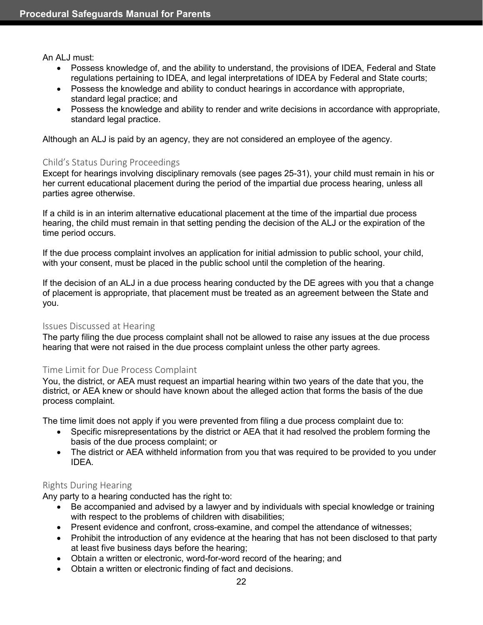An ALJ must:

- Possess knowledge of, and the ability to understand, the provisions of IDEA, Federal and State regulations pertaining to IDEA, and legal interpretations of IDEA by Federal and State courts;
- Possess the knowledge and ability to conduct hearings in accordance with appropriate, standard legal practice; and
- Possess the knowledge and ability to render and write decisions in accordance with appropriate, standard legal practice.

Although an ALJ is paid by an agency, they are not considered an employee of the agency.

### <span id="page-28-0"></span>Child's Status During Proceedings

Except for hearings involving disciplinary removals (see pages 25-31), your child must remain in his or her current educational placement during the period of the impartial due process hearing, unless all parties agree otherwise.

If a child is in an interim alternative educational placement at the time of the impartial due process hearing, the child must remain in that setting pending the decision of the ALJ or the expiration of the time period occurs.

If the due process complaint involves an application for initial admission to public school, your child, with your consent, must be placed in the public school until the completion of the hearing.

If the decision of an ALJ in a due process hearing conducted by the DE agrees with you that a change of placement is appropriate, that placement must be treated as an agreement between the State and you.

#### <span id="page-28-1"></span>Issues Discussed at Hearing

The party filing the due process complaint shall not be allowed to raise any issues at the due process hearing that were not raised in the due process complaint unless the other party agrees.

#### <span id="page-28-2"></span>Time Limit for Due Process Complaint

You, the district, or AEA must request an impartial hearing within two years of the date that you, the district, or AEA knew or should have known about the alleged action that forms the basis of the due process complaint.

The time limit does not apply if you were prevented from filing a due process complaint due to:

- Specific misrepresentations by the district or AEA that it had resolved the problem forming the basis of the due process complaint; or
- The district or AEA withheld information from you that was required to be provided to you under IDEA.

# <span id="page-28-3"></span>Rights During Hearing

Any party to a hearing conducted has the right to:

- Be accompanied and advised by a lawyer and by individuals with special knowledge or training with respect to the problems of children with disabilities;
- Present evidence and confront, cross-examine, and compel the attendance of witnesses;
- Prohibit the introduction of any evidence at the hearing that has not been disclosed to that party at least five business days before the hearing;
- Obtain a written or electronic, word-for-word record of the hearing; and
- Obtain a written or electronic finding of fact and decisions.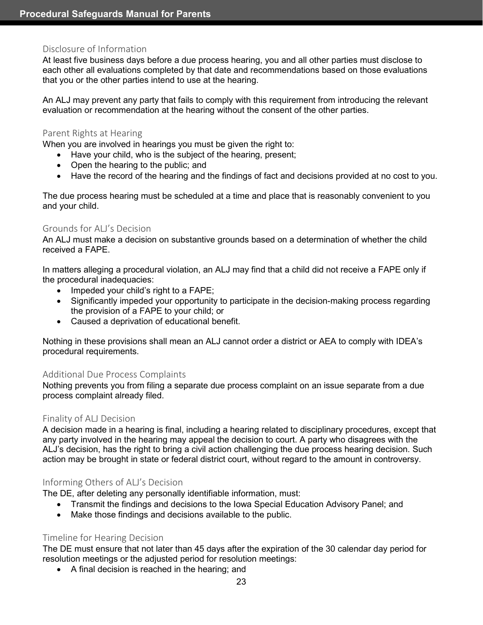#### <span id="page-29-0"></span>Disclosure of Information

At least five business days before a due process hearing, you and all other parties must disclose to each other all evaluations completed by that date and recommendations based on those evaluations that you or the other parties intend to use at the hearing.

An ALJ may prevent any party that fails to comply with this requirement from introducing the relevant evaluation or recommendation at the hearing without the consent of the other parties.

#### <span id="page-29-1"></span>Parent Rights at Hearing

When you are involved in hearings you must be given the right to:

- Have your child, who is the subject of the hearing, present;
- Open the hearing to the public; and
- Have the record of the hearing and the findings of fact and decisions provided at no cost to you.

The due process hearing must be scheduled at a time and place that is reasonably convenient to you and your child.

#### <span id="page-29-2"></span>Grounds for ALJ's Decision

An ALJ must make a decision on substantive grounds based on a determination of whether the child received a FAPE.

In matters alleging a procedural violation, an ALJ may find that a child did not receive a FAPE only if the procedural inadequacies:

- Impeded your child's right to a FAPE;
- Significantly impeded your opportunity to participate in the decision-making process regarding the provision of a FAPE to your child; or
- Caused a deprivation of educational benefit.

Nothing in these provisions shall mean an ALJ cannot order a district or AEA to comply with IDEA's procedural requirements.

#### <span id="page-29-3"></span>Additional Due Process Complaints

Nothing prevents you from filing a separate due process complaint on an issue separate from a due process complaint already filed.

#### <span id="page-29-4"></span>Finality of ALJ Decision

A decision made in a hearing is final, including a hearing related to disciplinary procedures, except that any party involved in the hearing may appeal the decision to court. A party who disagrees with the ALJ's decision, has the right to bring a civil action challenging the due process hearing decision. Such action may be brought in state or federal district court, without regard to the amount in controversy.

#### <span id="page-29-5"></span>Informing Others of ALJ's Decision

The DE, after deleting any personally identifiable information, must:

- Transmit the findings and decisions to the Iowa Special Education Advisory Panel; and
- Make those findings and decisions available to the public.

#### <span id="page-29-6"></span>Timeline for Hearing Decision

The DE must ensure that not later than 45 days after the expiration of the 30 calendar day period for resolution meetings or the adjusted period for resolution meetings:

• A final decision is reached in the hearing; and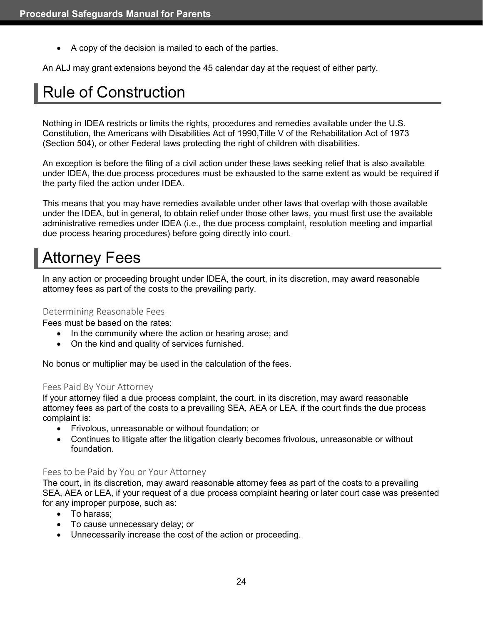• A copy of the decision is mailed to each of the parties.

An ALJ may grant extensions beyond the 45 calendar day at the request of either party.

# <span id="page-30-0"></span>Rule of Construction

Nothing in IDEA restricts or limits the rights, procedures and remedies available under the U.S. Constitution, the Americans with Disabilities Act of 1990,Title V of the Rehabilitation Act of 1973 (Section 504), or other Federal laws protecting the right of children with disabilities.

An exception is before the filing of a civil action under these laws seeking relief that is also available under IDEA, the due process procedures must be exhausted to the same extent as would be required if the party filed the action under IDEA.

This means that you may have remedies available under other laws that overlap with those available under the IDEA, but in general, to obtain relief under those other laws, you must first use the available administrative remedies under IDEA (i.e., the due process complaint, resolution meeting and impartial due process hearing procedures) before going directly into court.

# <span id="page-30-1"></span>Attorney Fees

In any action or proceeding brought under IDEA, the court, in its discretion, may award reasonable attorney fees as part of the costs to the prevailing party.

#### <span id="page-30-2"></span>Determining Reasonable Fees

Fees must be based on the rates:

- In the community where the action or hearing arose; and
- On the kind and quality of services furnished.

No bonus or multiplier may be used in the calculation of the fees.

#### <span id="page-30-3"></span>Fees Paid By Your Attorney

If your attorney filed a due process complaint, the court, in its discretion, may award reasonable attorney fees as part of the costs to a prevailing SEA, AEA or LEA, if the court finds the due process complaint is:

- Frivolous, unreasonable or without foundation; or
- Continues to litigate after the litigation clearly becomes frivolous, unreasonable or without foundation.

#### <span id="page-30-4"></span>Fees to be Paid by You or Your Attorney

The court, in its discretion, may award reasonable attorney fees as part of the costs to a prevailing SEA, AEA or LEA, if your request of a due process complaint hearing or later court case was presented for any improper purpose, such as:

- To harass;
- To cause unnecessary delay; or
- Unnecessarily increase the cost of the action or proceeding.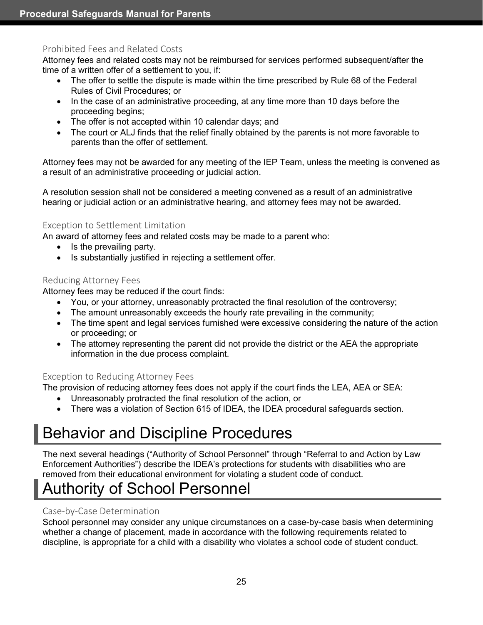# <span id="page-31-0"></span>Prohibited Fees and Related Costs

Attorney fees and related costs may not be reimbursed for services performed subsequent/after the time of a written offer of a settlement to you, if:

- The offer to settle the dispute is made within the time prescribed by Rule 68 of the Federal Rules of Civil Procedures; or
- In the case of an administrative proceeding, at any time more than 10 days before the proceeding begins;
- The offer is not accepted within 10 calendar days; and
- The court or ALJ finds that the relief finally obtained by the parents is not more favorable to parents than the offer of settlement.

Attorney fees may not be awarded for any meeting of the IEP Team, unless the meeting is convened as a result of an administrative proceeding or judicial action.

A resolution session shall not be considered a meeting convened as a result of an administrative hearing or judicial action or an administrative hearing, and attorney fees may not be awarded.

### <span id="page-31-1"></span>Exception to Settlement Limitation

An award of attorney fees and related costs may be made to a parent who:

- Is the prevailing party.
- Is substantially justified in rejecting a settlement offer.

# <span id="page-31-2"></span>Reducing Attorney Fees

Attorney fees may be reduced if the court finds:

- You, or your attorney, unreasonably protracted the final resolution of the controversy;
- The amount unreasonably exceeds the hourly rate prevailing in the community;
- The time spent and legal services furnished were excessive considering the nature of the action or proceeding; or
- The attorney representing the parent did not provide the district or the AEA the appropriate information in the due process complaint.

# <span id="page-31-3"></span>Exception to Reducing Attorney Fees

The provision of reducing attorney fees does not apply if the court finds the LEA, AEA or SEA:

- Unreasonably protracted the final resolution of the action, or
- There was a violation of Section 615 of IDEA, the IDEA procedural safeguards section.

# <span id="page-31-4"></span>Behavior and Discipline Procedures

The next several headings ("Authority of School Personnel" through "Referral to and Action by Law Enforcement Authorities") describe the IDEA's protections for students with disabilities who are removed from their educational environment for violating a student code of conduct.

# <span id="page-31-5"></span>Authority of School Personnel

# <span id="page-31-6"></span>Case-by-Case Determination

School personnel may consider any unique circumstances on a case-by-case basis when determining whether a change of placement, made in accordance with the following requirements related to discipline, is appropriate for a child with a disability who violates a school code of student conduct.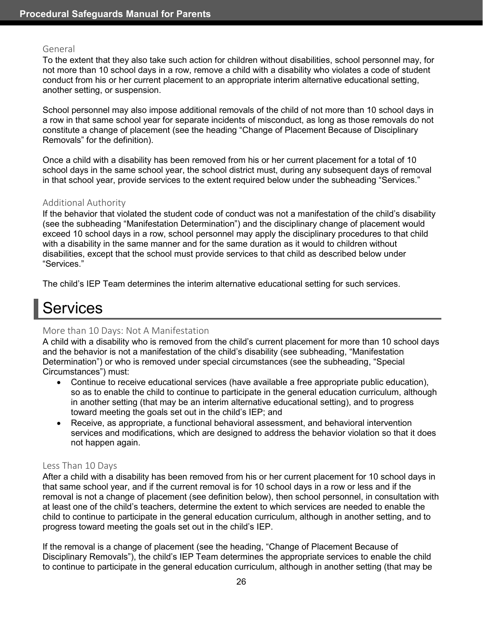#### <span id="page-32-0"></span>General

To the extent that they also take such action for children without disabilities, school personnel may, for not more than 10 school days in a row, remove a child with a disability who violates a code of student conduct from his or her current placement to an appropriate interim alternative educational setting, another setting, or suspension.

School personnel may also impose additional removals of the child of not more than 10 school days in a row in that same school year for separate incidents of misconduct, as long as those removals do not constitute a change of placement (see the heading "Change of Placement Because of Disciplinary Removals" for the definition).

Once a child with a disability has been removed from his or her current placement for a total of 10 school days in the same school year, the school district must, during any subsequent days of removal in that school year, provide services to the extent required below under the subheading "Services."

#### <span id="page-32-1"></span>Additional Authority

If the behavior that violated the student code of conduct was not a manifestation of the child's disability (see the subheading "Manifestation Determination") and the disciplinary change of placement would exceed 10 school days in a row, school personnel may apply the disciplinary procedures to that child with a disability in the same manner and for the same duration as it would to children without disabilities, except that the school must provide services to that child as described below under "Services."

The child's IEP Team determines the interim alternative educational setting for such services.

# <span id="page-32-2"></span>**Services**

# <span id="page-32-3"></span>More than 10 Days: Not A Manifestation

A child with a disability who is removed from the child's current placement for more than 10 school days and the behavior is not a manifestation of the child's disability (see subheading, "Manifestation Determination") or who is removed under special circumstances (see the subheading, "Special Circumstances") must:

- Continue to receive educational services (have available a free appropriate public education), so as to enable the child to continue to participate in the general education curriculum, although in another setting (that may be an interim alternative educational setting), and to progress toward meeting the goals set out in the child's IEP; and
- Receive, as appropriate, a functional behavioral assessment, and behavioral intervention services and modifications, which are designed to address the behavior violation so that it does not happen again.

#### <span id="page-32-4"></span>Less Than 10 Days

After a child with a disability has been removed from his or her current placement for 10 school days in that same school year, and if the current removal is for 10 school days in a row or less and if the removal is not a change of placement (see definition below), then school personnel, in consultation with at least one of the child's teachers, determine the extent to which services are needed to enable the child to continue to participate in the general education curriculum, although in another setting, and to progress toward meeting the goals set out in the child's IEP.

If the removal is a change of placement (see the heading, "Change of Placement Because of Disciplinary Removals"), the child's IEP Team determines the appropriate services to enable the child to continue to participate in the general education curriculum, although in another setting (that may be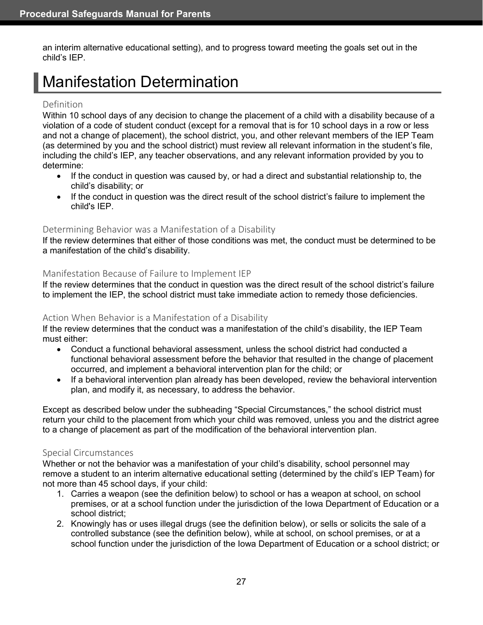an interim alternative educational setting), and to progress toward meeting the goals set out in the child's IEP.

# <span id="page-33-0"></span>Manifestation Determination

#### <span id="page-33-1"></span>Definition

Within 10 school days of any decision to change the placement of a child with a disability because of a violation of a code of student conduct (except for a removal that is for 10 school days in a row or less and not a change of placement), the school district, you, and other relevant members of the IEP Team (as determined by you and the school district) must review all relevant information in the student's file, including the child's IEP, any teacher observations, and any relevant information provided by you to determine:

- If the conduct in question was caused by, or had a direct and substantial relationship to, the child's disability; or
- If the conduct in question was the direct result of the school district's failure to implement the child's IEP.

### <span id="page-33-2"></span>Determining Behavior was a Manifestation of a Disability

If the review determines that either of those conditions was met, the conduct must be determined to be a manifestation of the child's disability.

### <span id="page-33-3"></span>Manifestation Because of Failure to Implement IEP

If the review determines that the conduct in question was the direct result of the school district's failure to implement the IEP, the school district must take immediate action to remedy those deficiencies.

#### <span id="page-33-4"></span>Action When Behavior is a Manifestation of a Disability

If the review determines that the conduct was a manifestation of the child's disability, the IEP Team must either:

- Conduct a functional behavioral assessment, unless the school district had conducted a functional behavioral assessment before the behavior that resulted in the change of placement occurred, and implement a behavioral intervention plan for the child; or
- If a behavioral intervention plan already has been developed, review the behavioral intervention plan, and modify it, as necessary, to address the behavior.

Except as described below under the subheading "Special Circumstances," the school district must return your child to the placement from which your child was removed, unless you and the district agree to a change of placement as part of the modification of the behavioral intervention plan.

#### <span id="page-33-5"></span>Special Circumstances

Whether or not the behavior was a manifestation of your child's disability, school personnel may remove a student to an interim alternative educational setting (determined by the child's IEP Team) for not more than 45 school days, if your child:

- 1. Carries a weapon (see the definition below) to school or has a weapon at school, on school premises, or at a school function under the jurisdiction of the Iowa Department of Education or a school district;
- 2. Knowingly has or uses illegal drugs (see the definition below), or sells or solicits the sale of a controlled substance (see the definition below), while at school, on school premises, or at a school function under the jurisdiction of the Iowa Department of Education or a school district; or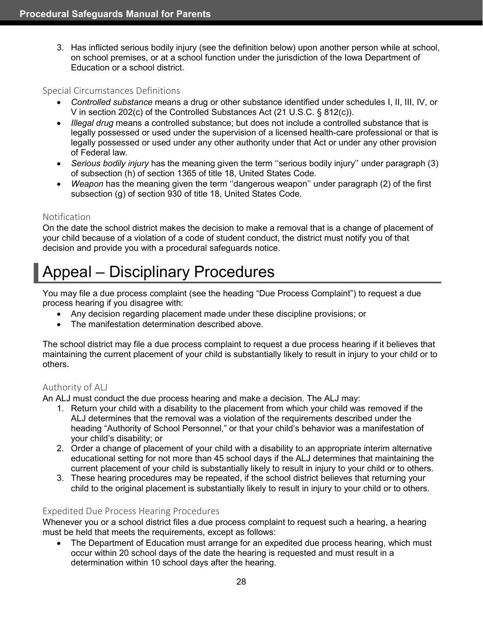3. Has inflicted serious bodily injury (see the definition below) upon another person while at school, on school premises, or at a school function under the jurisdiction of the Iowa Department of Education or a school district.

#### <span id="page-34-0"></span>Special Circumstances Definitions

- *Controlled substance* means a drug or other substance identified under schedules I, II, III, IV, or V in section 202(c) of the Controlled Substances Act (21 U.S.C. § 812(c)).
- *Illegal drug* means a controlled substance; but does not include a controlled substance that is legally possessed or used under the supervision of a licensed health-care professional or that is legally possessed or used under any other authority under that Act or under any other provision of Federal law.
- *Serious bodily injury* has the meaning given the term ''serious bodily injury'' under paragraph (3) of subsection (h) of section 1365 of title 18, United States Code.
- *Weapon* has the meaning given the term ''dangerous weapon'' under paragraph (2) of the first subsection (g) of section 930 of title 18, United States Code.

# <span id="page-34-1"></span>Notification

On the date the school district makes the decision to make a removal that is a change of placement of your child because of a violation of a code of student conduct, the district must notify you of that decision and provide you with a procedural safeguards notice.

# <span id="page-34-2"></span>Appeal – Disciplinary Procedures

You may file a due process complaint (see the heading "Due Process Complaint") to request a due process hearing if you disagree with:

- Any decision regarding placement made under these discipline provisions; or
- The manifestation determination described above.

The school district may file a due process complaint to request a due process hearing if it believes that maintaining the current placement of your child is substantially likely to result in injury to your child or to others.

# <span id="page-34-3"></span>Authority of ALJ

An ALJ must conduct the due process hearing and make a decision. The ALJ may:

- 1. Return your child with a disability to the placement from which your child was removed if the ALJ determines that the removal was a violation of the requirements described under the heading "Authority of School Personnel," or that your child's behavior was a manifestation of your child's disability; or
- 2. Order a change of placement of your child with a disability to an appropriate interim alternative educational setting for not more than 45 school days if the ALJ determines that maintaining the current placement of your child is substantially likely to result in injury to your child or to others.
- 3. These hearing procedures may be repeated, if the school district believes that returning your child to the original placement is substantially likely to result in injury to your child or to others.

# <span id="page-34-4"></span>Expedited Due Process Hearing Procedures

Whenever you or a school district files a due process complaint to request such a hearing, a hearing must be held that meets the requirements, except as follows:

The Department of Education must arrange for an expedited due process hearing, which must occur within 20 school days of the date the hearing is requested and must result in a determination within 10 school days after the hearing.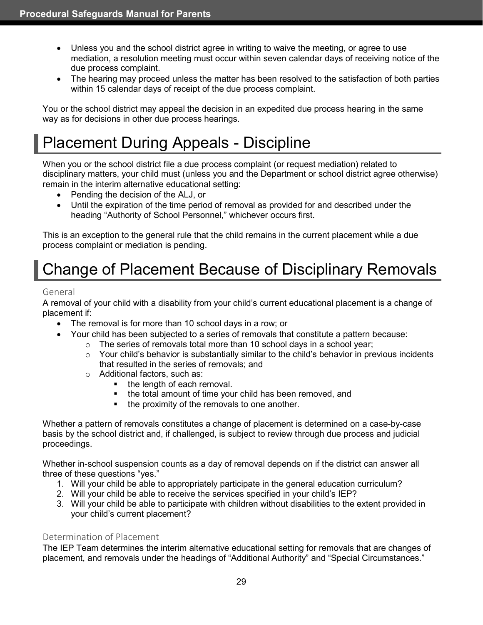- Unless you and the school district agree in writing to waive the meeting, or agree to use mediation, a resolution meeting must occur within seven calendar days of receiving notice of the due process complaint.
- The hearing may proceed unless the matter has been resolved to the satisfaction of both parties within 15 calendar days of receipt of the due process complaint.

You or the school district may appeal the decision in an expedited due process hearing in the same way as for decisions in other due process hearings.

# <span id="page-35-0"></span>Placement During Appeals - Discipline

When you or the school district file a due process complaint (or request mediation) related to disciplinary matters, your child must (unless you and the Department or school district agree otherwise) remain in the interim alternative educational setting:

- Pending the decision of the ALJ, or
- Until the expiration of the time period of removal as provided for and described under the heading "Authority of School Personnel," whichever occurs first.

This is an exception to the general rule that the child remains in the current placement while a due process complaint or mediation is pending.

# <span id="page-35-1"></span>Change of Placement Because of Disciplinary Removals

### <span id="page-35-2"></span>General

A removal of your child with a disability from your child's current educational placement is a change of placement if:

- The removal is for more than 10 school days in a row; or
- Your child has been subjected to a series of removals that constitute a pattern because:
	- $\circ$  The series of removals total more than 10 school days in a school year;
	- $\circ$  Your child's behavior is substantially similar to the child's behavior in previous incidents that resulted in the series of removals; and
	- $\circ$  Additional factors, such as:<br>the length of each re
		- the length of each removal.
		- the total amount of time your child has been removed, and
		- the proximity of the removals to one another.

Whether a pattern of removals constitutes a change of placement is determined on a case-by-case basis by the school district and, if challenged, is subject to review through due process and judicial proceedings.

Whether in-school suspension counts as a day of removal depends on if the district can answer all three of these questions "yes."

- 1. Will your child be able to appropriately participate in the general education curriculum?
- 2. Will your child be able to receive the services specified in your child's IEP?
- 3. Will your child be able to participate with children without disabilities to the extent provided in your child's current placement?

#### <span id="page-35-3"></span>Determination of Placement

The IEP Team determines the interim alternative educational setting for removals that are changes of placement, and removals under the headings of "Additional Authority" and "Special Circumstances."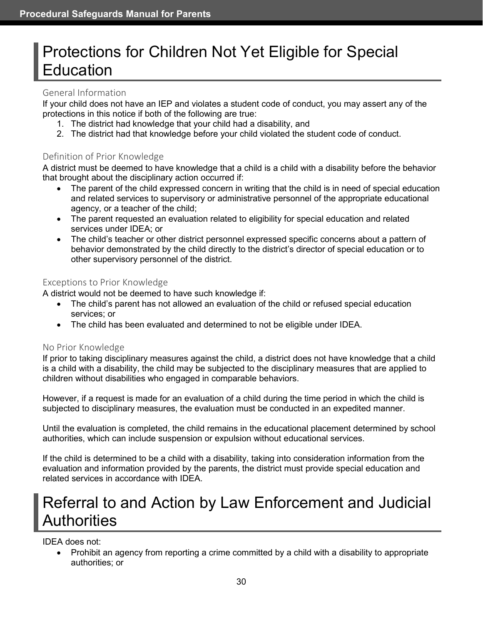# <span id="page-36-0"></span>Protections for Children Not Yet Eligible for Special Education

### <span id="page-36-1"></span>General Information

If your child does not have an IEP and violates a student code of conduct, you may assert any of the protections in this notice if both of the following are true:

- 1. The district had knowledge that your child had a disability, and
- 2. The district had that knowledge before your child violated the student code of conduct.

# <span id="page-36-2"></span>Definition of Prior Knowledge

A district must be deemed to have knowledge that a child is a child with a disability before the behavior that brought about the disciplinary action occurred if:

- The parent of the child expressed concern in writing that the child is in need of special education and related services to supervisory or administrative personnel of the appropriate educational agency, or a teacher of the child;
- The parent requested an evaluation related to eligibility for special education and related services under IDEA; or
- The child's teacher or other district personnel expressed specific concerns about a pattern of behavior demonstrated by the child directly to the district's director of special education or to other supervisory personnel of the district.

# <span id="page-36-3"></span>Exceptions to Prior Knowledge

A district would not be deemed to have such knowledge if:

- The child's parent has not allowed an evaluation of the child or refused special education services; or
- The child has been evaluated and determined to not be eligible under IDEA.

# <span id="page-36-4"></span>No Prior Knowledge

If prior to taking disciplinary measures against the child, a district does not have knowledge that a child is a child with a disability, the child may be subjected to the disciplinary measures that are applied to children without disabilities who engaged in comparable behaviors.

However, if a request is made for an evaluation of a child during the time period in which the child is subjected to disciplinary measures, the evaluation must be conducted in an expedited manner.

Until the evaluation is completed, the child remains in the educational placement determined by school authorities, which can include suspension or expulsion without educational services.

If the child is determined to be a child with a disability, taking into consideration information from the evaluation and information provided by the parents, the district must provide special education and related services in accordance with IDEA.

# <span id="page-36-5"></span>Referral to and Action by Law Enforcement and Judicial Authorities

IDEA does not:

• Prohibit an agency from reporting a crime committed by a child with a disability to appropriate authorities; or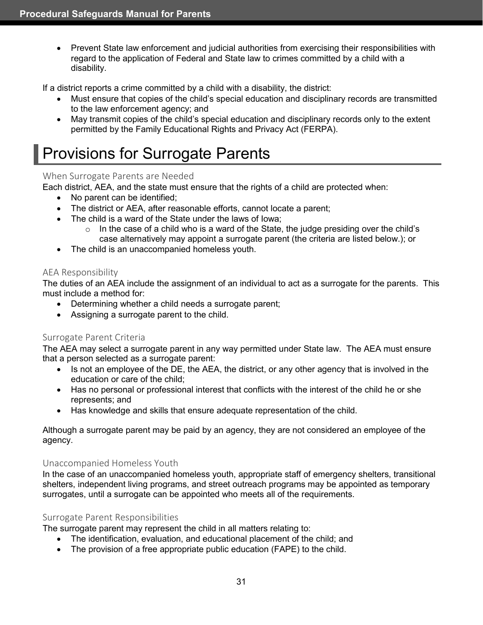• Prevent State law enforcement and judicial authorities from exercising their responsibilities with regard to the application of Federal and State law to crimes committed by a child with a disability.

If a district reports a crime committed by a child with a disability, the district:

- Must ensure that copies of the child's special education and disciplinary records are transmitted to the law enforcement agency; and
- May transmit copies of the child's special education and disciplinary records only to the extent permitted by the Family Educational Rights and Privacy Act (FERPA).

# <span id="page-37-0"></span>Provisions for Surrogate Parents

### <span id="page-37-1"></span>When Surrogate Parents are Needed

Each district, AEA, and the state must ensure that the rights of a child are protected when:

- No parent can be identified;
- The district or AEA, after reasonable efforts, cannot locate a parent;
- The child is a ward of the State under the laws of Iowa;
	- $\circ$  In the case of a child who is a ward of the State, the judge presiding over the child's case alternatively may appoint a surrogate parent (the criteria are listed below.); or
- The child is an unaccompanied homeless youth.

# <span id="page-37-2"></span>AEA Responsibility

The duties of an AEA include the assignment of an individual to act as a surrogate for the parents. This must include a method for:

- Determining whether a child needs a surrogate parent;
- Assigning a surrogate parent to the child.

# <span id="page-37-3"></span>Surrogate Parent Criteria

The AEA may select a surrogate parent in any way permitted under State law. The AEA must ensure that a person selected as a surrogate parent:

- Is not an employee of the DE, the AEA, the district, or any other agency that is involved in the education or care of the child;
- Has no personal or professional interest that conflicts with the interest of the child he or she represents; and
- Has knowledge and skills that ensure adequate representation of the child.

Although a surrogate parent may be paid by an agency, they are not considered an employee of the agency.

#### <span id="page-37-4"></span>Unaccompanied Homeless Youth

In the case of an unaccompanied homeless youth, appropriate staff of emergency shelters, transitional shelters, independent living programs, and street outreach programs may be appointed as temporary surrogates, until a surrogate can be appointed who meets all of the requirements.

#### <span id="page-37-5"></span>Surrogate Parent Responsibilities

The surrogate parent may represent the child in all matters relating to:

- The identification, evaluation, and educational placement of the child; and
- The provision of a free appropriate public education (FAPE) to the child.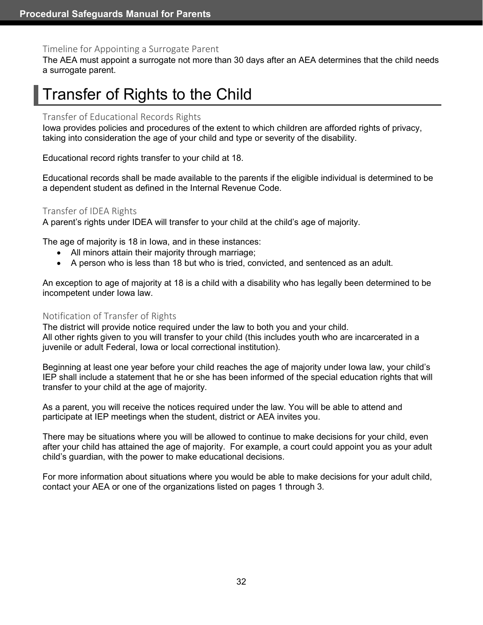#### <span id="page-38-0"></span>Timeline for Appointing a Surrogate Parent

The AEA must appoint a surrogate not more than 30 days after an AEA determines that the child needs a surrogate parent.

# <span id="page-38-1"></span>Transfer of Rights to the Child

#### <span id="page-38-2"></span>Transfer of Educational Records Rights

Iowa provides policies and procedures of the extent to which children are afforded rights of privacy, taking into consideration the age of your child and type or severity of the disability.

Educational record rights transfer to your child at 18.

Educational records shall be made available to the parents if the eligible individual is determined to be a dependent student as defined in the Internal Revenue Code.

#### <span id="page-38-3"></span>Transfer of IDEA Rights

A parent's rights under IDEA will transfer to your child at the child's age of majority.

The age of majority is 18 in Iowa, and in these instances:

- All minors attain their majority through marriage;
- A person who is less than 18 but who is tried, convicted, and sentenced as an adult.

An exception to age of majority at 18 is a child with a disability who has legally been determined to be incompetent under Iowa law.

#### <span id="page-38-4"></span>Notification of Transfer of Rights

The district will provide notice required under the law to both you and your child. All other rights given to you will transfer to your child (this includes youth who are incarcerated in a juvenile or adult Federal, Iowa or local correctional institution).

Beginning at least one year before your child reaches the age of majority under Iowa law, your child's IEP shall include a statement that he or she has been informed of the special education rights that will transfer to your child at the age of majority.

As a parent, you will receive the notices required under the law. You will be able to attend and participate at IEP meetings when the student, district or AEA invites you.

There may be situations where you will be allowed to continue to make decisions for your child, even after your child has attained the age of majority. For example, a court could appoint you as your adult child's guardian, with the power to make educational decisions.

For more information about situations where you would be able to make decisions for your adult child, contact your AEA or one of the organizations listed on pages 1 through 3.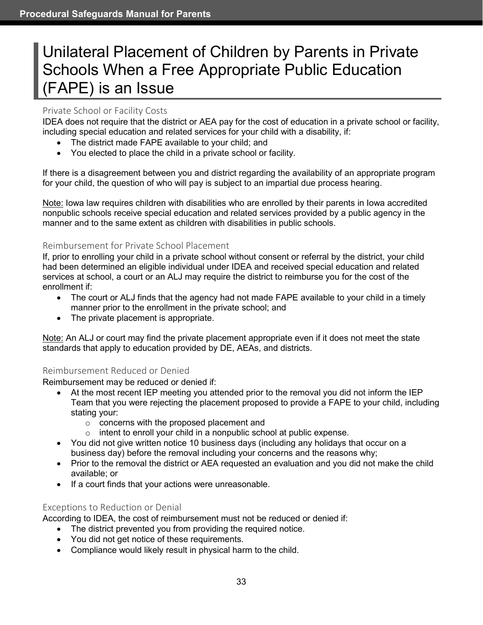# <span id="page-39-0"></span>Unilateral Placement of Children by Parents in Private Schools When a Free Appropriate Public Education (FAPE) is an Issue

# <span id="page-39-1"></span>Private School or Facility Costs

IDEA does not require that the district or AEA pay for the cost of education in a private school or facility, including special education and related services for your child with a disability, if:

- The district made FAPE available to your child; and
- You elected to place the child in a private school or facility.

If there is a disagreement between you and district regarding the availability of an appropriate program for your child, the question of who will pay is subject to an impartial due process hearing.

Note: Iowa law requires children with disabilities who are enrolled by their parents in Iowa accredited nonpublic schools receive special education and related services provided by a public agency in the manner and to the same extent as children with disabilities in public schools.

# <span id="page-39-2"></span>Reimbursement for Private School Placement

If, prior to enrolling your child in a private school without consent or referral by the district, your child had been determined an eligible individual under IDEA and received special education and related services at school, a court or an ALJ may require the district to reimburse you for the cost of the enrollment if:

- The court or ALJ finds that the agency had not made FAPE available to your child in a timely manner prior to the enrollment in the private school; and
- The private placement is appropriate.

Note: An ALJ or court may find the private placement appropriate even if it does not meet the state standards that apply to education provided by DE, AEAs, and districts.

# <span id="page-39-3"></span>Reimbursement Reduced or Denied

Reimbursement may be reduced or denied if:

- At the most recent IEP meeting you attended prior to the removal you did not inform the IEP Team that you were rejecting the placement proposed to provide a FAPE to your child, including stating your:
	- o concerns with the proposed placement and
	- $\circ$  intent to enroll your child in a nonpublic school at public expense.
- You did not give written notice 10 business days (including any holidays that occur on a business day) before the removal including your concerns and the reasons why;
- Prior to the removal the district or AEA requested an evaluation and you did not make the child available; or
- If a court finds that your actions were unreasonable.

# <span id="page-39-4"></span>Exceptions to Reduction or Denial

According to IDEA, the cost of reimbursement must not be reduced or denied if:

- The district prevented you from providing the required notice.
- You did not get notice of these requirements.
- Compliance would likely result in physical harm to the child.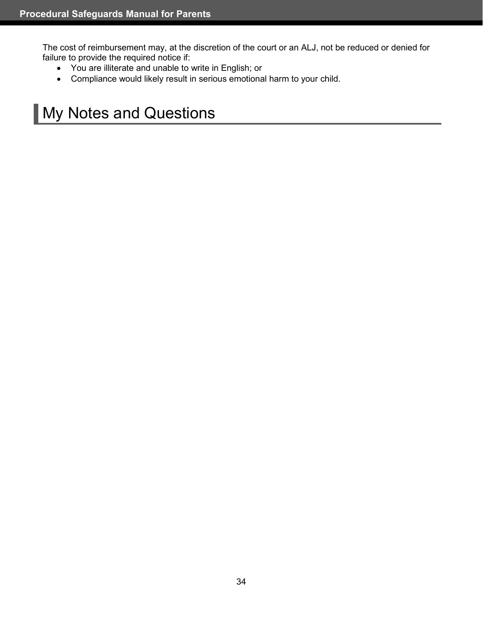The cost of reimbursement may, at the discretion of the court or an ALJ, not be reduced or denied for failure to provide the required notice if:

- You are illiterate and unable to write in English; or
- Compliance would likely result in serious emotional harm to your child.

# <span id="page-40-0"></span>**My Notes and Questions**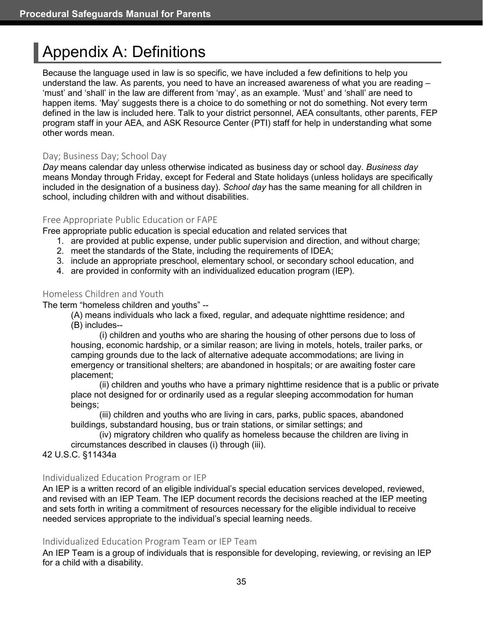# <span id="page-41-0"></span>Appendix A: Definitions

Because the language used in law is so specific, we have included a few definitions to help you understand the law. As parents, you need to have an increased awareness of what you are reading – 'must' and 'shall' in the law are different from 'may', as an example. 'Must' and 'shall' are need to happen items. 'May' suggests there is a choice to do something or not do something. Not every term defined in the law is included here. Talk to your district personnel, AEA consultants, other parents, FEP program staff in your AEA, and ASK Resource Center (PTI) staff for help in understanding what some other words mean.

### <span id="page-41-1"></span>Day; Business Day; School Day

*Day* means calendar day unless otherwise indicated as business day or school day. *Business day* means Monday through Friday, except for Federal and State holidays (unless holidays are specifically included in the designation of a business day). *School day* has the same meaning for all children in school, including children with and without disabilities.

# <span id="page-41-2"></span>Free Appropriate Public Education or FAPE

Free appropriate public education is special education and related services that

- 1. are provided at public expense, under public supervision and direction, and without charge;
- 2. meet the standards of the State, including the requirements of IDEA;
- 3. include an appropriate preschool, elementary school, or secondary school education, and
- 4. are provided in conformity with an individualized education program (IEP).

#### <span id="page-41-3"></span>Homeless Children and Youth

The term "homeless children and youths" --

(A) means individuals who lack a fixed, regular, and adequate nighttime residence; and (B) includes--

(i) children and youths who are sharing the housing of other persons due to loss of housing, economic hardship, or a similar reason; are living in motels, hotels, trailer parks, or camping grounds due to the lack of alternative adequate accommodations; are living in emergency or transitional shelters; are abandoned in hospitals; or are awaiting foster care placement;

(ii) children and youths who have a primary nighttime residence that is a public or private place not designed for or ordinarily used as a regular sleeping accommodation for human beings;

(iii) children and youths who are living in cars, parks, public spaces, abandoned buildings, substandard housing, bus or train stations, or similar settings; and

(iv) migratory children who qualify as homeless because the children are living in circumstances described in clauses (i) through (iii).

42 U.S.C. §11434a

#### <span id="page-41-4"></span>Individualized Education Program or IEP

An IEP is a written record of an eligible individual's special education services developed, reviewed, and revised with an IEP Team. The IEP document records the decisions reached at the IEP meeting and sets forth in writing a commitment of resources necessary for the eligible individual to receive needed services appropriate to the individual's special learning needs.

#### <span id="page-41-5"></span>Individualized Education Program Team or IEP Team

An IEP Team is a group of individuals that is responsible for developing, reviewing, or revising an IEP for a child with a disability.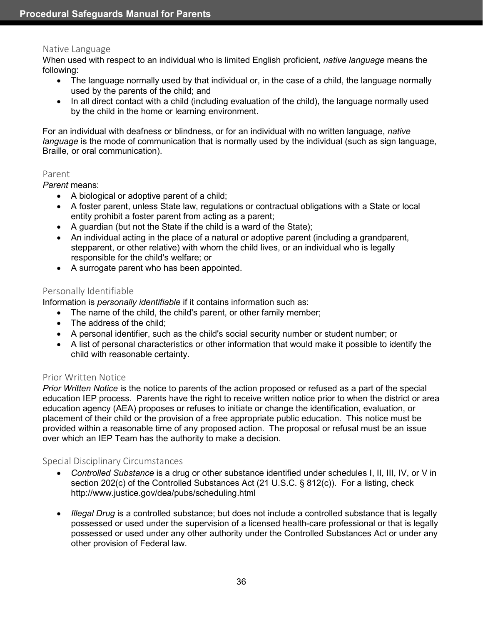#### <span id="page-42-0"></span>Native Language

When used with respect to an individual who is limited English proficient, *native language* means the following:

- The language normally used by that individual or, in the case of a child, the language normally used by the parents of the child; and
- In all direct contact with a child (including evaluation of the child), the language normally used by the child in the home or learning environment.

For an individual with deafness or blindness, or for an individual with no written language, *native language* is the mode of communication that is normally used by the individual (such as sign language, Braille, or oral communication).

#### <span id="page-42-1"></span>Parent

*Parent* means:

- A biological or adoptive parent of a child;
- A foster parent, unless State law, regulations or contractual obligations with a State or local entity prohibit a foster parent from acting as a parent;
- A guardian (but not the State if the child is a ward of the State);
- An individual acting in the place of a natural or adoptive parent (including a grandparent, stepparent, or other relative) with whom the child lives, or an individual who is legally responsible for the child's welfare; or
- A surrogate parent who has been appointed.

#### <span id="page-42-2"></span>Personally Identifiable

Information is *personally identifiable* if it contains information such as:

- The name of the child, the child's parent, or other family member;
- The address of the child:
- A personal identifier, such as the child's social security number or student number; or
- A list of personal characteristics or other information that would make it possible to identify the child with reasonable certainty.

#### <span id="page-42-3"></span>Prior Written Notice

*Prior Written Notice* is the notice to parents of the action proposed or refused as a part of the special education IEP process. Parents have the right to receive written notice prior to when the district or area education agency (AEA) proposes or refuses to initiate or change the identification, evaluation, or placement of their child or the provision of a free appropriate public education. This notice must be provided within a reasonable time of any proposed action. The proposal or refusal must be an issue over which an IEP Team has the authority to make a decision.

#### <span id="page-42-4"></span>Special Disciplinary Circumstances

- *Controlled Substance* is a drug or other substance identified under schedules I, II, III, IV, or V in section 202(c) of the Controlled Substances Act (21 U.S.C. § 812(c)). For a listing, check http://www.justice.gov/dea/pubs/scheduling.html
- *Illegal Drug* is a controlled substance; but does not include a controlled substance that is legally possessed or used under the supervision of a licensed health-care professional or that is legally possessed or used under any other authority under the Controlled Substances Act or under any other provision of Federal law.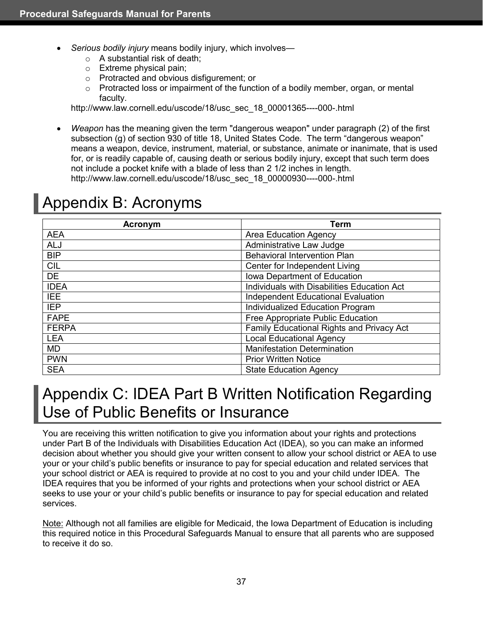- *Serious bodily injury* means bodily injury, which involves—
	- $\circ$  A substantial risk of death;
	- o Extreme physical pain;
	- o Protracted and obvious disfigurement; or
	- $\circ$  Protracted loss or impairment of the function of a bodily member, organ, or mental faculty.

http://www.law.cornell.edu/uscode/18/usc\_sec\_18\_00001365----000-.html

• *Weapon* has the meaning given the term "dangerous weapon" under paragraph (2) of the first subsection (g) of section 930 of title 18, United States Code. The term "dangerous weapon" means a weapon, device, instrument, material, or substance, animate or inanimate, that is used for, or is readily capable of, causing death or serious bodily injury, except that such term does not include a pocket knife with a blade of less than 2 1/2 inches in length. http://www.law.cornell.edu/uscode/18/usc\_sec\_18\_00000930----000-.html

# <span id="page-43-0"></span>Appendix B: Acronyms

| <b>Term</b><br>Acronym |                                             |  |
|------------------------|---------------------------------------------|--|
| <b>AEA</b>             | <b>Area Education Agency</b>                |  |
| <b>ALJ</b>             | Administrative Law Judge                    |  |
| <b>BIP</b>             | <b>Behavioral Intervention Plan</b>         |  |
| <b>CIL</b>             | Center for Independent Living               |  |
| <b>DE</b>              | Iowa Department of Education                |  |
| <b>IDEA</b>            | Individuals with Disabilities Education Act |  |
| <b>IEE</b>             | Independent Educational Evaluation          |  |
| <b>IEP</b>             | Individualized Education Program            |  |
| <b>FAPE</b>            | Free Appropriate Public Education           |  |
| <b>FERPA</b>           | Family Educational Rights and Privacy Act   |  |
| <b>LEA</b>             | <b>Local Educational Agency</b>             |  |
| <b>MD</b>              | <b>Manifestation Determination</b>          |  |
| <b>PWN</b>             | <b>Prior Written Notice</b>                 |  |
| <b>SEA</b>             | <b>State Education Agency</b>               |  |

# <span id="page-43-1"></span>Appendix C: IDEA Part B Written Notification Regarding Use of Public Benefits or Insurance

You are receiving this written notification to give you information about your rights and protections under Part B of the Individuals with Disabilities Education Act (IDEA), so you can make an informed decision about whether you should give your written consent to allow your school district or AEA to use your or your child's public benefits or insurance to pay for special education and related services that your school district or AEA is required to provide at no cost to you and your child under IDEA. The IDEA requires that you be informed of your rights and protections when your school district or AEA seeks to use your or your child's public benefits or insurance to pay for special education and related services.

Note: Although not all families are eligible for Medicaid, the Iowa Department of Education is including this required notice in this Procedural Safeguards Manual to ensure that all parents who are supposed to receive it do so.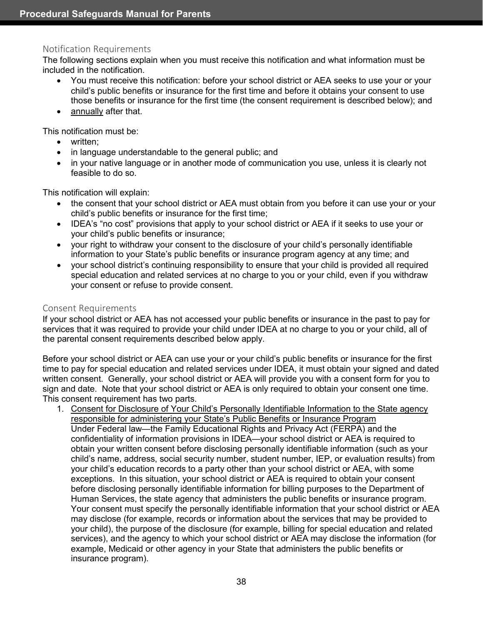#### <span id="page-44-0"></span>Notification Requirements

The following sections explain when you must receive this notification and what information must be included in the notification.

- You must receive this notification: before your school district or AEA seeks to use your or your child's public benefits or insurance for the first time and before it obtains your consent to use those benefits or insurance for the first time (the consent requirement is described below); and
- annually after that.

This notification must be:

- written;
- in language understandable to the general public; and
- in your native language or in another mode of communication you use, unless it is clearly not feasible to do so.

This notification will explain:

- the consent that your school district or AEA must obtain from you before it can use your or your child's public benefits or insurance for the first time;
- IDEA's "no cost" provisions that apply to your school district or AEA if it seeks to use your or your child's public benefits or insurance;
- your right to withdraw your consent to the disclosure of your child's personally identifiable information to your State's public benefits or insurance program agency at any time; and
- your school district's continuing responsibility to ensure that your child is provided all required special education and related services at no charge to you or your child, even if you withdraw your consent or refuse to provide consent.

#### <span id="page-44-1"></span>Consent Requirements

If your school district or AEA has not accessed your public benefits or insurance in the past to pay for services that it was required to provide your child under IDEA at no charge to you or your child, all of the parental consent requirements described below apply.

Before your school district or AEA can use your or your child's public benefits or insurance for the first time to pay for special education and related services under IDEA, it must obtain your signed and dated written consent. Generally, your school district or AEA will provide you with a consent form for you to sign and date. Note that your school district or AEA is only required to obtain your consent one time. This consent requirement has two parts.

1. Consent for Disclosure of Your Child's Personally Identifiable Information to the State agency responsible for administering your State's Public Benefits or Insurance Program Under Federal law—the Family Educational Rights and Privacy Act (FERPA) and the confidentiality of information provisions in IDEA—your school district or AEA is required to obtain your written consent before disclosing personally identifiable information (such as your child's name, address, social security number, student number, IEP, or evaluation results) from your child's education records to a party other than your school district or AEA, with some exceptions. In this situation, your school district or AEA is required to obtain your consent before disclosing personally identifiable information for billing purposes to the Department of Human Services, the state agency that administers the public benefits or insurance program. Your consent must specify the personally identifiable information that your school district or AEA may disclose (for example, records or information about the services that may be provided to your child), the purpose of the disclosure (for example, billing for special education and related services), and the agency to which your school district or AEA may disclose the information (for example, Medicaid or other agency in your State that administers the public benefits or insurance program).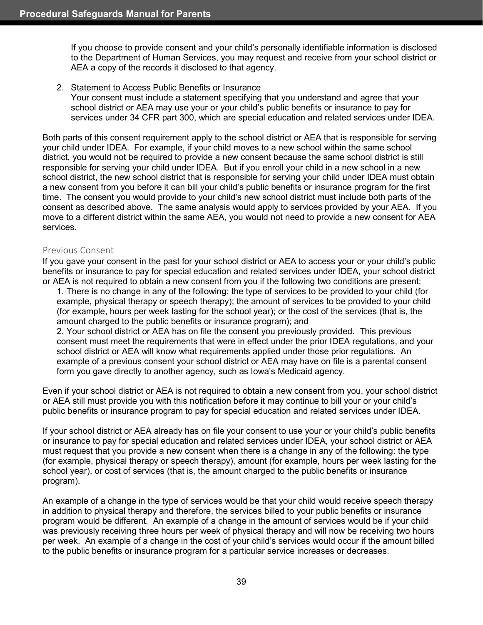If you choose to provide consent and your child's personally identifiable information is disclosed to the Department of Human Services, you may request and receive from your school district or AEA a copy of the records it disclosed to that agency.

#### 2. Statement to Access Public Benefits or Insurance

Your consent must include a statement specifying that you understand and agree that your school district or AEA may use your or your child's public benefits or insurance to pay for services under 34 CFR part 300, which are special education and related services under IDEA.

Both parts of this consent requirement apply to the school district or AEA that is responsible for serving your child under IDEA. For example, if your child moves to a new school within the same school district, you would not be required to provide a new consent because the same school district is still responsible for serving your child under IDEA. But if you enroll your child in a new school in a new school district, the new school district that is responsible for serving your child under IDEA must obtain a new consent from you before it can bill your child's public benefits or insurance program for the first time. The consent you would provide to your child's new school district must include both parts of the consent as described above. The same analysis would apply to services provided by your AEA. If you move to a different district within the same AEA, you would not need to provide a new consent for AEA services.

#### <span id="page-45-0"></span>Previous Consent

If you gave your consent in the past for your school district or AEA to access your or your child's public benefits or insurance to pay for special education and related services under IDEA, your school district or AEA is not required to obtain a new consent from you if the following two conditions are present:

1. There is no change in any of the following: the type of services to be provided to your child (for example, physical therapy or speech therapy); the amount of services to be provided to your child (for example, hours per week lasting for the school year); or the cost of the services (that is, the amount charged to the public benefits or insurance program); and

2. Your school district or AEA has on file the consent you previously provided. This previous consent must meet the requirements that were in effect under the prior IDEA regulations, and your school district or AEA will know what requirements applied under those prior regulations. An example of a previous consent your school district or AEA may have on file is a parental consent form you gave directly to another agency, such as Iowa's Medicaid agency.

Even if your school district or AEA is not required to obtain a new consent from you, your school district or AEA still must provide you with this notification before it may continue to bill your or your child's public benefits or insurance program to pay for special education and related services under IDEA.

If your school district or AEA already has on file your consent to use your or your child's public benefits or insurance to pay for special education and related services under IDEA, your school district or AEA must request that you provide a new consent when there is a change in any of the following: the type (for example, physical therapy or speech therapy), amount (for example, hours per week lasting for the school year), or cost of services (that is, the amount charged to the public benefits or insurance program).

An example of a change in the type of services would be that your child would receive speech therapy in addition to physical therapy and therefore, the services billed to your public benefits or insurance program would be different. An example of a change in the amount of services would be if your child was previously receiving three hours per week of physical therapy and will now be receiving two hours per week. An example of a change in the cost of your child's services would occur if the amount billed to the public benefits or insurance program for a particular service increases or decreases.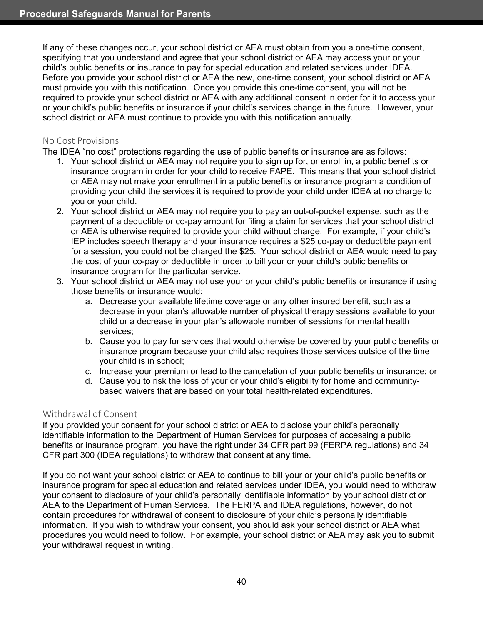If any of these changes occur, your school district or AEA must obtain from you a one-time consent, specifying that you understand and agree that your school district or AEA may access your or your child's public benefits or insurance to pay for special education and related services under IDEA. Before you provide your school district or AEA the new, one-time consent, your school district or AEA must provide you with this notification. Once you provide this one-time consent, you will not be required to provide your school district or AEA with any additional consent in order for it to access your or your child's public benefits or insurance if your child's services change in the future. However, your school district or AEA must continue to provide you with this notification annually.

### <span id="page-46-0"></span>No Cost Provisions

The IDEA "no cost" protections regarding the use of public benefits or insurance are as follows:

- 1. Your school district or AEA may not require you to sign up for, or enroll in, a public benefits or insurance program in order for your child to receive FAPE. This means that your school district or AEA may not make your enrollment in a public benefits or insurance program a condition of providing your child the services it is required to provide your child under IDEA at no charge to you or your child.
- 2. Your school district or AEA may not require you to pay an out-of-pocket expense, such as the payment of a deductible or co-pay amount for filing a claim for services that your school district or AEA is otherwise required to provide your child without charge. For example, if your child's IEP includes speech therapy and your insurance requires a \$25 co-pay or deductible payment for a session, you could not be charged the \$25. Your school district or AEA would need to pay the cost of your co-pay or deductible in order to bill your or your child's public benefits or insurance program for the particular service.
- 3. Your school district or AEA may not use your or your child's public benefits or insurance if using those benefits or insurance would:
	- a. Decrease your available lifetime coverage or any other insured benefit, such as a decrease in your plan's allowable number of physical therapy sessions available to your child or a decrease in your plan's allowable number of sessions for mental health services;
	- b. Cause you to pay for services that would otherwise be covered by your public benefits or insurance program because your child also requires those services outside of the time your child is in school;
	- c. Increase your premium or lead to the cancelation of your public benefits or insurance; or
	- d. Cause you to risk the loss of your or your child's eligibility for home and communitybased waivers that are based on your total health-related expenditures.

#### <span id="page-46-1"></span>Withdrawal of Consent

If you provided your consent for your school district or AEA to disclose your child's personally identifiable information to the Department of Human Services for purposes of accessing a public benefits or insurance program, you have the right under 34 CFR part 99 (FERPA regulations) and 34 CFR part 300 (IDEA regulations) to withdraw that consent at any time.

If you do not want your school district or AEA to continue to bill your or your child's public benefits or insurance program for special education and related services under IDEA, you would need to withdraw your consent to disclosure of your child's personally identifiable information by your school district or AEA to the Department of Human Services. The FERPA and IDEA regulations, however, do not contain procedures for withdrawal of consent to disclosure of your child's personally identifiable information. If you wish to withdraw your consent, you should ask your school district or AEA what procedures you would need to follow. For example, your school district or AEA may ask you to submit your withdrawal request in writing.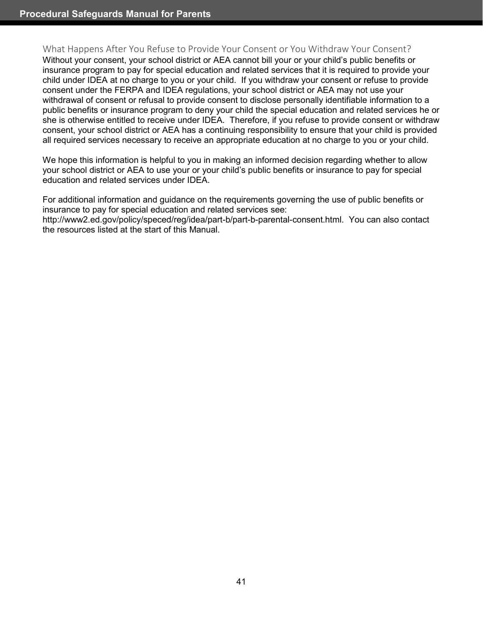#### <span id="page-47-0"></span>What Happens After You Refuse to Provide Your Consent or You Withdraw Your Consent?

Without your consent, your school district or AEA cannot bill your or your child's public benefits or insurance program to pay for special education and related services that it is required to provide your child under IDEA at no charge to you or your child. If you withdraw your consent or refuse to provide consent under the FERPA and IDEA regulations, your school district or AEA may not use your withdrawal of consent or refusal to provide consent to disclose personally identifiable information to a public benefits or insurance program to deny your child the special education and related services he or she is otherwise entitled to receive under IDEA. Therefore, if you refuse to provide consent or withdraw consent, your school district or AEA has a continuing responsibility to ensure that your child is provided all required services necessary to receive an appropriate education at no charge to you or your child.

We hope this information is helpful to you in making an informed decision regarding whether to allow your school district or AEA to use your or your child's public benefits or insurance to pay for special education and related services under IDEA.

For additional information and guidance on the requirements governing the use of public benefits or insurance to pay for special education and related services see:

http://www2.ed.gov/policy/speced/reg/idea/part-b/part-b-parental-consent.html. You can also contact the resources listed at the start of this Manual.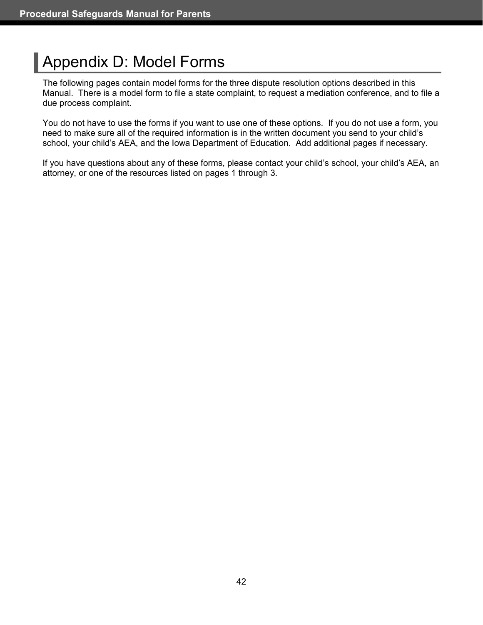# <span id="page-48-0"></span>Appendix D: Model Forms

The following pages contain model forms for the three dispute resolution options described in this Manual. There is a model form to file a state complaint, to request a mediation conference, and to file a due process complaint.

You do not have to use the forms if you want to use one of these options. If you do not use a form, you need to make sure all of the required information is in the written document you send to your child's school, your child's AEA, and the Iowa Department of Education. Add additional pages if necessary.

If you have questions about any of these forms, please contact your child's school, your child's AEA, an attorney, or one of the resources listed on pages 1 through 3.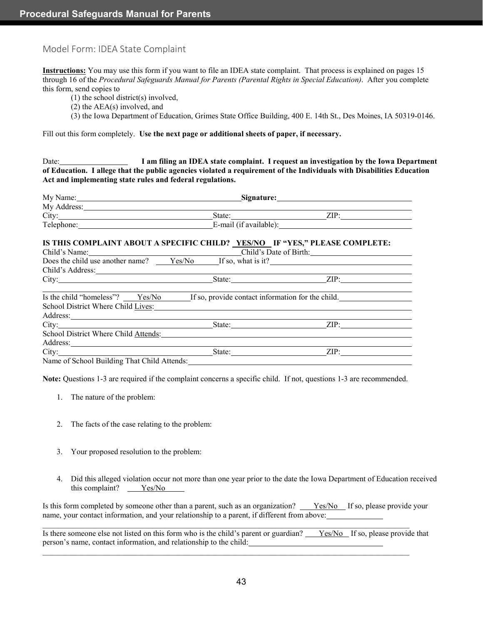#### <span id="page-49-0"></span>Model Form: IDEA State Complaint

**Instructions:** You may use this form if you want to file an IDEA state complaint. That process is explained on pages 15 through 16 of the *Procedural Safeguards Manual for Parents (Parental Rights in Special Education)*. After you complete this form, send copies to

- (1) the school district(s) involved,
- (2) the AEA(s) involved, and
- (3) the Iowa Department of Education, Grimes State Office Building, 400 E. 14th St., Des Moines, IA 50319-0146.

Fill out this form completely. **Use the next page or additional sheets of paper, if necessary.**

Date: **I am filing an IDEA state complaint. I request an investigation by the Iowa Department of Education. I allege that the public agencies violated a requirement of the Individuals with Disabilities Education Act and implementing state rules and federal regulations.**

|                                                                                                                                                                                                                                | My Name: Signature: Signature:    |                                                                                                           |  |
|--------------------------------------------------------------------------------------------------------------------------------------------------------------------------------------------------------------------------------|-----------------------------------|-----------------------------------------------------------------------------------------------------------|--|
| My Address: No. 1986. The Second State of the Second State of the Second State of the Second State of the Second State of the Second State of the Second State of the Second State of the Second State of the Second State of  |                                   |                                                                                                           |  |
|                                                                                                                                                                                                                                |                                   |                                                                                                           |  |
|                                                                                                                                                                                                                                | Telephone: E-mail (if available): |                                                                                                           |  |
| IS THIS COMPLAINT ABOUT A SPECIFIC CHILD? YES/NO IF "YES," PLEASE COMPLETE:                                                                                                                                                    |                                   | Child's Name: Child's Date of Birth:                                                                      |  |
|                                                                                                                                                                                                                                |                                   | Does the child use another name? $Yes/No$ If so, what is it?                                              |  |
| Child's Address: Universe of the Second Second Second Second Second Second Second Second Second Second Second Second Second Second Second Second Second Second Second Second Second Second Second Second Second Second Second  |                                   |                                                                                                           |  |
|                                                                                                                                                                                                                                |                                   | City: <u>City: ZIP:</u>                                                                                   |  |
| School District Where Child Lives:                                                                                                                                                                                             |                                   | Is the child "homeless"? $\frac{\text{Yes}}{\text{No}}$ If so, provide contact information for the child. |  |
| Address:                                                                                                                                                                                                                       |                                   |                                                                                                           |  |
|                                                                                                                                                                                                                                |                                   |                                                                                                           |  |
| School District Where Child Attends:                                                                                                                                                                                           |                                   |                                                                                                           |  |
| Address: The contract of the contract of the contract of the contract of the contract of the contract of the contract of the contract of the contract of the contract of the contract of the contract of the contract of the c |                                   |                                                                                                           |  |
|                                                                                                                                                                                                                                |                                   |                                                                                                           |  |
| Name of School Building That Child Attends: Manual Child Attends: Manual Child Attends:                                                                                                                                        |                                   |                                                                                                           |  |

**Note:** Questions 1-3 are required if the complaint concerns a specific child. If not, questions 1-3 are recommended.

- 1. The nature of the problem:
- 2. The facts of the case relating to the problem:
- 3. Your proposed resolution to the problem:
- 4. Did this alleged violation occur not more than one year prior to the date the Iowa Department of Education received this complaint? Yes/No

Is this form completed by someone other than a parent, such as an organization? Yes/No If so, please provide your name, your contact information, and your relationship to a parent, if different from above:

 $\mathcal{L}_\mathcal{L} = \{ \mathcal{L}_\mathcal{L} = \{ \mathcal{L}_\mathcal{L} = \{ \mathcal{L}_\mathcal{L} = \{ \mathcal{L}_\mathcal{L} = \{ \mathcal{L}_\mathcal{L} = \{ \mathcal{L}_\mathcal{L} = \{ \mathcal{L}_\mathcal{L} = \{ \mathcal{L}_\mathcal{L} = \{ \mathcal{L}_\mathcal{L} = \{ \mathcal{L}_\mathcal{L} = \{ \mathcal{L}_\mathcal{L} = \{ \mathcal{L}_\mathcal{L} = \{ \mathcal{L}_\mathcal{L} = \{ \mathcal{L}_\mathcal{$ 

 $\mathcal{L}_\mathcal{L} = \{ \mathcal{L}_\mathcal{L} = \{ \mathcal{L}_\mathcal{L} = \{ \mathcal{L}_\mathcal{L} = \{ \mathcal{L}_\mathcal{L} = \{ \mathcal{L}_\mathcal{L} = \{ \mathcal{L}_\mathcal{L} = \{ \mathcal{L}_\mathcal{L} = \{ \mathcal{L}_\mathcal{L} = \{ \mathcal{L}_\mathcal{L} = \{ \mathcal{L}_\mathcal{L} = \{ \mathcal{L}_\mathcal{L} = \{ \mathcal{L}_\mathcal{L} = \{ \mathcal{L}_\mathcal{L} = \{ \mathcal{L}_\mathcal{$ 

Is there someone else not listed on this form who is the child's parent or guardian? Yes/No If so, please provide that person's name, contact information, and relationship to the child: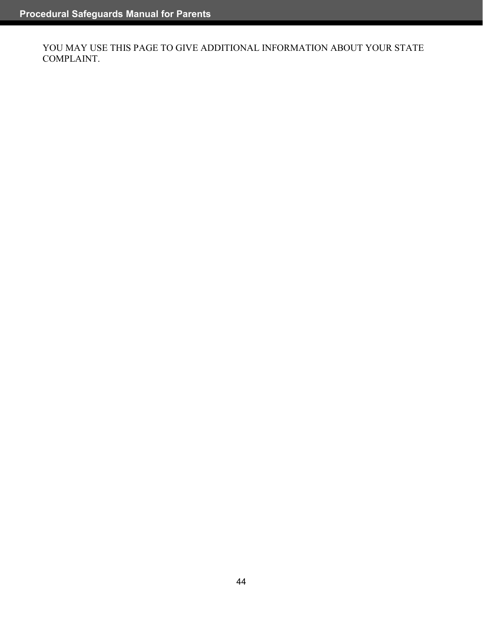YOU MAY USE THIS PAGE TO GIVE ADDITIONAL INFORMATION ABOUT YOUR STATE COMPLAINT.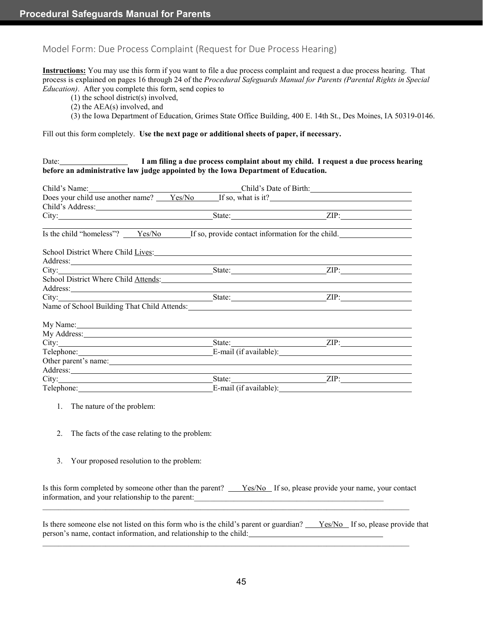#### <span id="page-51-0"></span>Model Form: Due Process Complaint (Request for Due Process Hearing)

**Instructions:** You may use this form if you want to file a due process complaint and request a due process hearing. That process is explained on pages 16 through 24 of the *Procedural Safeguards Manual for Parents (Parental Rights in Special Education)*. After you complete this form, send copies to

- (1) the school district(s) involved,
- (2) the AEA(s) involved, and
- (3) the Iowa Department of Education, Grimes State Office Building, 400 E. 14th St., Des Moines, IA 50319-0146.

#### Fill out this form completely. **Use the next page or additional sheets of paper, if necessary.**

#### Date: **I am filing a due process complaint about my child. I request a due process hearing before an administrative law judge appointed by the Iowa Department of Education.**

|                                                                                                                                                                                                                                              | Child's Name: Child's Date of Birth:                        |  |  |
|----------------------------------------------------------------------------------------------------------------------------------------------------------------------------------------------------------------------------------------------|-------------------------------------------------------------|--|--|
|                                                                                                                                                                                                                                              | Does your child use another name? Yes/No If so, what is it? |  |  |
| Child's Address: New York Child's Address:                                                                                                                                                                                                   |                                                             |  |  |
| City: <u>State:</u> State: <u>State:</u> State: <u>State:</u> State: State: State: State: State: State: State: State: State: State: State: State: State: State: State: State: State: State: State: State: State: State: State: State: State: |                                                             |  |  |
| Is the child "homeless"? $Yes/No$ If so, provide contact information for the child.                                                                                                                                                          |                                                             |  |  |
|                                                                                                                                                                                                                                              |                                                             |  |  |
| School District Where Child Lives:                                                                                                                                                                                                           |                                                             |  |  |
| Address: <u>Address:</u> Address: Address: Address: Address: Address: Address: Address: Address: Address: Address: Address: Address: Address: Address: Address: Address: Address: Address: Address: Address: Address: Address: Addr          |                                                             |  |  |
| City: <u>City: City:</u> City: City: City: City: City: City: City: City: City: City: City: City: City: City: City: City: City: City: City: City: City: City: City: City: City: City: City: City: City: City: City: City: City: City          |                                                             |  |  |
| School District Where Child Attends:                                                                                                                                                                                                         |                                                             |  |  |
|                                                                                                                                                                                                                                              |                                                             |  |  |
| City: <u>City:</u> City: City: City: City: City: City: City: City: City: City: City: City: City: City: City: City: City: City: City: City: City: City: City: City: City: City: City: City: City: City: City: City: City: City: City          |                                                             |  |  |
| Name of School Building That Child Attends: Name of School Building That Child Attends:                                                                                                                                                      |                                                             |  |  |
|                                                                                                                                                                                                                                              |                                                             |  |  |
| My Name: 1988 Contract to the Second Contract of the Second Contract of the Second Contract of the Second Contract of the Second Contract of the Second Contract of the Second Contract of the Second Contract of the Second C               |                                                             |  |  |
| My Address: No. 1986. The Manual State of the Manual State of the Manual State of the Manual State of the Manual State of the Manual State of the Manual State of the Manual State of the Manual State of the Manual State of                |                                                             |  |  |
|                                                                                                                                                                                                                                              | State: <u>ZIP:</u> ZIP:                                     |  |  |
| Telephone: E-mail (if available):                                                                                                                                                                                                            |                                                             |  |  |
|                                                                                                                                                                                                                                              |                                                             |  |  |
| Address: <u>Address</u> and the contract of the contract of the contract of the contract of the contract of the contract of the contract of the contract of the contract of the contract of the contract of the contract of the con          |                                                             |  |  |
|                                                                                                                                                                                                                                              | State: ZIP:                                                 |  |  |
|                                                                                                                                                                                                                                              | E-mail (if available):                                      |  |  |

- 1. The nature of the problem:
- 2. The facts of the case relating to the problem:
- 3. Your proposed resolution to the problem:

| Is this form completed by someone other than the parent? | Yes/No If so, please provide your name, your contact |  |
|----------------------------------------------------------|------------------------------------------------------|--|
| information, and your relationship to the parent:        |                                                      |  |

 $\mathcal{L}_\mathcal{L} = \{ \mathcal{L}_\mathcal{L} = \{ \mathcal{L}_\mathcal{L} = \{ \mathcal{L}_\mathcal{L} = \{ \mathcal{L}_\mathcal{L} = \{ \mathcal{L}_\mathcal{L} = \{ \mathcal{L}_\mathcal{L} = \{ \mathcal{L}_\mathcal{L} = \{ \mathcal{L}_\mathcal{L} = \{ \mathcal{L}_\mathcal{L} = \{ \mathcal{L}_\mathcal{L} = \{ \mathcal{L}_\mathcal{L} = \{ \mathcal{L}_\mathcal{L} = \{ \mathcal{L}_\mathcal{L} = \{ \mathcal{L}_\mathcal{$ 

 $\mathcal{L}_\mathcal{L} = \{ \mathcal{L}_\mathcal{L} = \{ \mathcal{L}_\mathcal{L} = \{ \mathcal{L}_\mathcal{L} = \{ \mathcal{L}_\mathcal{L} = \{ \mathcal{L}_\mathcal{L} = \{ \mathcal{L}_\mathcal{L} = \{ \mathcal{L}_\mathcal{L} = \{ \mathcal{L}_\mathcal{L} = \{ \mathcal{L}_\mathcal{L} = \{ \mathcal{L}_\mathcal{L} = \{ \mathcal{L}_\mathcal{L} = \{ \mathcal{L}_\mathcal{L} = \{ \mathcal{L}_\mathcal{L} = \{ \mathcal{L}_\mathcal{$ 

Is there someone else not listed on this form who is the child's parent or guardian? Yes/No If so, please provide that person's name, contact information, and relationship to the child: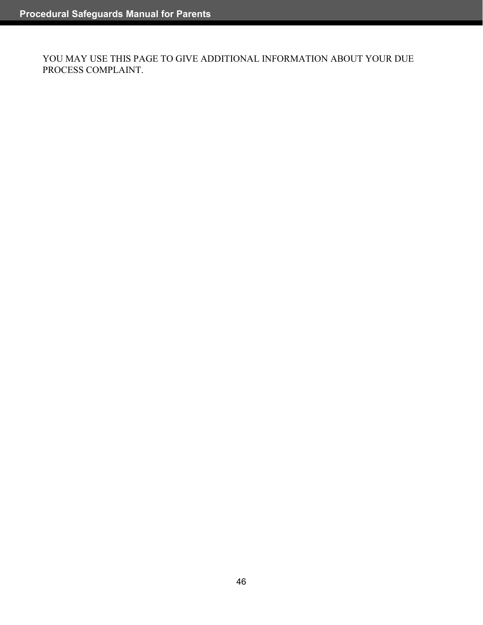YOU MAY USE THIS PAGE TO GIVE ADDITIONAL INFORMATION ABOUT YOUR DUE PROCESS COMPLAINT.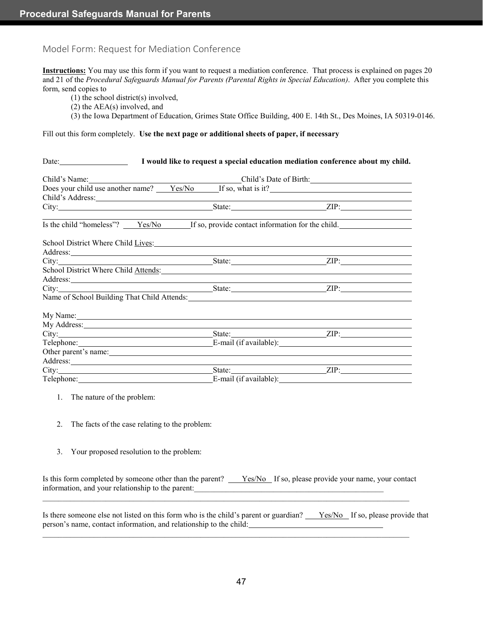#### <span id="page-53-0"></span>Model Form: Request for Mediation Conference

**Instructions:** You may use this form if you want to request a mediation conference. That process is explained on pages 20 and 21 of the *Procedural Safeguards Manual for Parents (Parental Rights in Special Education)*. After you complete this form, send copies to

- (1) the school district(s) involved,
- (2) the AEA(s) involved, and
- (3) the Iowa Department of Education, Grimes State Office Building, 400 E. 14th St., Des Moines, IA 50319-0146.

Fill out this form completely. **Use the next page or additional sheets of paper, if necessary**

|                                                                                                                                                                                                                                              | Child's Name:<br>Does your child use another name? <u>Yes/No</u> If so, what is it? |  |  |
|----------------------------------------------------------------------------------------------------------------------------------------------------------------------------------------------------------------------------------------------|-------------------------------------------------------------------------------------|--|--|
|                                                                                                                                                                                                                                              |                                                                                     |  |  |
|                                                                                                                                                                                                                                              |                                                                                     |  |  |
| Is the child "homeless"? Yes/No If so, provide contact information for the child.                                                                                                                                                            |                                                                                     |  |  |
| School District Where Child Lives:                                                                                                                                                                                                           |                                                                                     |  |  |
| Address: No. 1996. The Contract of the Contract of the Contract of the Contract of the Contract of the Contract of the Contract of the Contract of the Contract of the Contract of the Contract of the Contract of the Contrac               |                                                                                     |  |  |
|                                                                                                                                                                                                                                              |                                                                                     |  |  |
| School District Where Child Attends:                                                                                                                                                                                                         |                                                                                     |  |  |
| Address:                                                                                                                                                                                                                                     |                                                                                     |  |  |
| City: <u>State:</u> State: <u>State:</u> State: <u>State:</u> State: State: State: State: State: State: State: State: State: State: State: State: State: State: State: State: State: State: State: State: State: State: State: State: State: |                                                                                     |  |  |
| Name of School Building That Child Attends: Name of School Building That Child Attends:                                                                                                                                                      |                                                                                     |  |  |
| My Name:                                                                                                                                                                                                                                     |                                                                                     |  |  |
| My Address: No. 2016. The Contract of the Contract of the Contract of the Contract of the Contract of the Contract of the Contract of the Contract of the Contract of the Contract of the Contract of the Contract of the Cont               |                                                                                     |  |  |
|                                                                                                                                                                                                                                              |                                                                                     |  |  |
|                                                                                                                                                                                                                                              |                                                                                     |  |  |
|                                                                                                                                                                                                                                              |                                                                                     |  |  |
| Address: 1000 million and the contract of the contract of the contract of the contract of the contract of the contract of the contract of the contract of the contract of the contract of the contract of the contract of the                |                                                                                     |  |  |
| City: <u>City:</u> City: City: City: City: City: City: City: City: City: City: City: City: City: City: City: City: City: City: City: City: City: City: City: City: City: City: City: City: City: City: City: City: City: City: City          |                                                                                     |  |  |
|                                                                                                                                                                                                                                              |                                                                                     |  |  |
|                                                                                                                                                                                                                                              |                                                                                     |  |  |
| 1. The nature of the problem:                                                                                                                                                                                                                |                                                                                     |  |  |

- 2. The facts of the case relating to the problem:
- 3. Your proposed resolution to the problem:

| Is this form completed by someone other than the parent? $Y_{\text{es}}/N_0$ If so, please provide your name, your contact |  |  |
|----------------------------------------------------------------------------------------------------------------------------|--|--|
| information, and your relationship to the parent:                                                                          |  |  |

 $\mathcal{L}_\mathcal{L} = \{ \mathcal{L}_\mathcal{L} = \{ \mathcal{L}_\mathcal{L} = \{ \mathcal{L}_\mathcal{L} = \{ \mathcal{L}_\mathcal{L} = \{ \mathcal{L}_\mathcal{L} = \{ \mathcal{L}_\mathcal{L} = \{ \mathcal{L}_\mathcal{L} = \{ \mathcal{L}_\mathcal{L} = \{ \mathcal{L}_\mathcal{L} = \{ \mathcal{L}_\mathcal{L} = \{ \mathcal{L}_\mathcal{L} = \{ \mathcal{L}_\mathcal{L} = \{ \mathcal{L}_\mathcal{L} = \{ \mathcal{L}_\mathcal{$ 

 $\mathcal{L}_\mathcal{L} = \{ \mathcal{L}_\mathcal{L} = \{ \mathcal{L}_\mathcal{L} = \{ \mathcal{L}_\mathcal{L} = \{ \mathcal{L}_\mathcal{L} = \{ \mathcal{L}_\mathcal{L} = \{ \mathcal{L}_\mathcal{L} = \{ \mathcal{L}_\mathcal{L} = \{ \mathcal{L}_\mathcal{L} = \{ \mathcal{L}_\mathcal{L} = \{ \mathcal{L}_\mathcal{L} = \{ \mathcal{L}_\mathcal{L} = \{ \mathcal{L}_\mathcal{L} = \{ \mathcal{L}_\mathcal{L} = \{ \mathcal{L}_\mathcal{$ 

Is there someone else not listed on this form who is the child's parent or guardian? Yes/No If so, please provide that person's name, contact information, and relationship to the child: